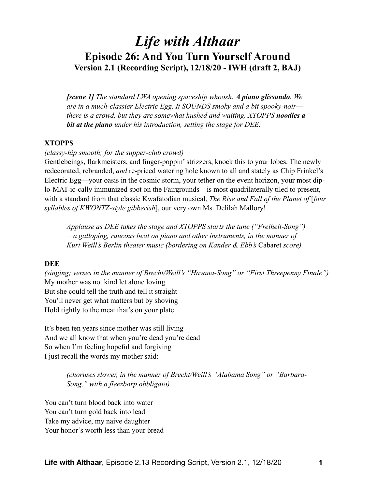# *Life with Althaar*  **Episode 26: And You Turn Yourself Around Version 2.1 (Recording Script), 12/18/20 - IWH (draft 2, BAJ)**

*[scene 1] The standard LWA opening spaceship whoosh. A piano glissando. We are in a much-classier Electric Egg. It SOUNDS smoky and a bit spooky-noir there is a crowd, but they are somewhat hushed and waiting. XTOPPS noodles a bit at the piano under his introduction, setting the stage for DEE.* 

#### **XTOPPS**

#### *(classy-hip smooth; for the supper-club crowd)*

Gentlebeings, flarkmeisters, and finger-poppin' strizzers, knock this to your lobes. The newly redecorated, rebranded, *and* re-priced watering hole known to all and stately as Chip Frinkel's Electric Egg—your oasis in the cosmic storm, your tether on the event horizon, your most diplo-MAT-ic-cally immunized spot on the Fairgrounds—is most quadrilaterally tiled to present, with a standard from that classic Kwafatodian musical, *The Rise and Fall of the Planet of* [*four syllables of KWONTZ-style gibberish*], our very own Ms. Delilah Mallory!

*Applause as DEE takes the stage and XTOPPS starts the tune ("Freiheit-Song") —a galloping, raucous beat on piano and other instruments, in the manner of Kurt Weill's Berlin theater music (bordering on Kander & Ebb's* Cabaret *score).* 

#### **DEE**

*(singing; verses in the manner of Brecht/Weill's "Havana-Song" or "First Threepenny Finale")*  My mother was not kind let alone loving But she could tell the truth and tell it straight You'll never get what matters but by shoving Hold tightly to the meat that's on your plate

It's been ten years since mother was still living And we all know that when you're dead you're dead So when I'm feeling hopeful and forgiving I just recall the words my mother said:

> *(choruses slower, in the manner of Brecht/Weill's "Alabama Song" or "Barbara-Song," with a fleezborp obbligato)*

You can't turn blood back into water You can't turn gold back into lead Take my advice, my naive daughter Your honor's worth less than your bread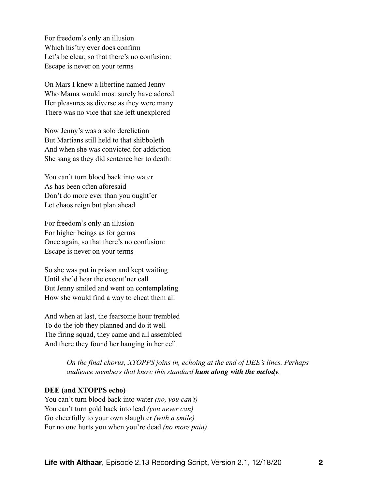For freedom's only an illusion Which his'try ever does confirm Let's be clear, so that there's no confusion: Escape is never on your terms

On Mars I knew a libertine named Jenny Who Mama would most surely have adored Her pleasures as diverse as they were many There was no vice that she left unexplored

Now Jenny's was a solo dereliction But Martians still held to that shibboleth And when she was convicted for addiction She sang as they did sentence her to death:

You can't turn blood back into water As has been often aforesaid Don't do more ever than you ought'er Let chaos reign but plan ahead

For freedom's only an illusion For higher beings as for germs Once again, so that there's no confusion: Escape is never on your terms

So she was put in prison and kept waiting Until she'd hear the execut'ner call But Jenny smiled and went on contemplating How she would find a way to cheat them all

And when at last, the fearsome hour trembled To do the job they planned and do it well The firing squad, they came and all assembled And there they found her hanging in her cell

> *On the final chorus, XTOPPS joins in, echoing at the end of DEE's lines. Perhaps audience members that know this standard hum along with the melody.*

#### **DEE (and XTOPPS echo)**

You can't turn blood back into water *(no, you can't)*  You can't turn gold back into lead *(you never can)*  Go cheerfully to your own slaughter *(with a smile)*  For no one hurts you when you're dead *(no more pain)*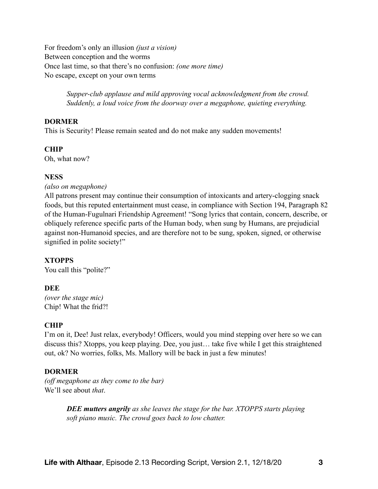For freedom's only an illusion *(just a vision)*  Between conception and the worms Once last time, so that there's no confusion: *(one more time)*  No escape, except on your own terms

> *Supper-club applause and mild approving vocal acknowledgment from the crowd. Suddenly, a loud voice from the doorway over a megaphone, quieting everything.*

# **DORMER**

This is Security! Please remain seated and do not make any sudden movements!

# **CHIP**

Oh, what now?

### **NESS**

*(also on megaphone)* 

All patrons present may continue their consumption of intoxicants and artery-clogging snack foods, but this reputed entertainment must cease, in compliance with Section 194, Paragraph 82 of the Human-Fugulnari Friendship Agreement! "Song lyrics that contain, concern, describe, or obliquely reference specific parts of the Human body, when sung by Humans, are prejudicial against non-Humanoid species, and are therefore not to be sung, spoken, signed, or otherwise signified in polite society!"

# **XTOPPS**

You call this "polite?"

# **DEE**

*(over the stage mic)*  Chip! What the frid?!

# **CHIP**

I'm on it, Dee! Just relax, everybody! Officers, would you mind stepping over here so we can discuss this? Xtopps, you keep playing. Dee, you just… take five while I get this straightened out, ok? No worries, folks, Ms. Mallory will be back in just a few minutes!

# **DORMER**

*(off megaphone as they come to the bar)*  We'll see about *that*.

> *DEE mutters angrily as she leaves the stage for the bar. XTOPPS starts playing soft piano music. The crowd goes back to low chatter.*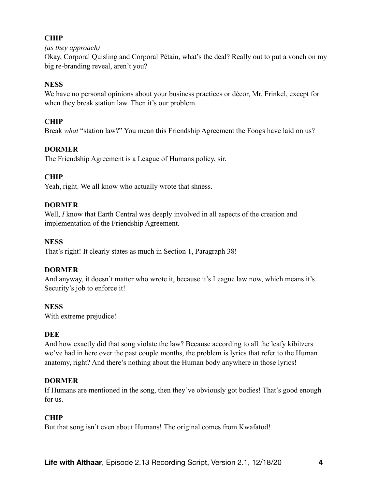# **CHIP**

*(as they approach)* 

Okay, Corporal Quisling and Corporal Pétain, what's the deal? Really out to put a vonch on my big re-branding reveal, aren't you?

# **NESS**

We have no personal opinions about your business practices or décor, Mr. Frinkel, except for when they break station law. Then it's our problem.

# **CHIP**

Break *what* "station law?" You mean this Friendship Agreement the Foogs have laid on us?

# **DORMER**

The Friendship Agreement is a League of Humans policy, sir.

# **CHIP**

Yeah, right. We all know who actually wrote that shness.

# **DORMER**

Well, *I* know that Earth Central was deeply involved in all aspects of the creation and implementation of the Friendship Agreement.

# **NESS**

That's right! It clearly states as much in Section 1, Paragraph 38!

# **DORMER**

And anyway, it doesn't matter who wrote it, because it's League law now, which means it's Security's job to enforce it!

### **NESS**

With extreme prejudice!

### **DEE**

And how exactly did that song violate the law? Because according to all the leafy kibitzers we've had in here over the past couple months, the problem is lyrics that refer to the Human anatomy, right? And there's nothing about the Human body anywhere in those lyrics!

# **DORMER**

If Humans are mentioned in the song, then they've obviously got bodies! That's good enough for us.

# **CHIP**

But that song isn't even about Humans! The original comes from Kwafatod!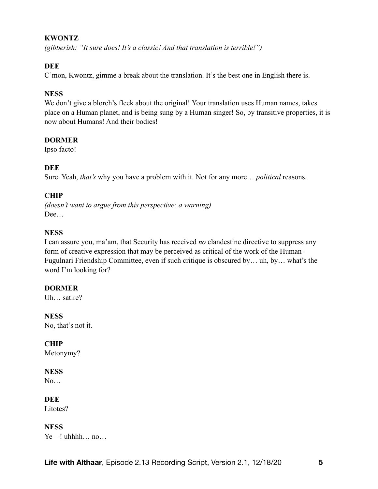# **KWONTZ**

*(gibberish: "It sure does! It's a classic! And that translation is terrible!")* 

### **DEE**

C'mon, Kwontz, gimme a break about the translation. It's the best one in English there is.

#### **NESS**

We don't give a blorch's fleek about the original! Your translation uses Human names, takes place on a Human planet, and is being sung by a Human singer! So, by transitive properties, it is now about Humans! And their bodies!

#### **DORMER**

Ipso facto!

### **DEE**

Sure. Yeah, *that's* why you have a problem with it. Not for any more… *political* reasons.

### **CHIP**

*(doesn't want to argue from this perspective; a warning)*  Dee…

### **NESS**

I can assure you, ma'am, that Security has received *no* clandestine directive to suppress any form of creative expression that may be perceived as critical of the work of the Human-Fugulnari Friendship Committee, even if such critique is obscured by… uh, by… what's the word I'm looking for?

# **DORMER**

Uh… satire?

#### **NESS**

No, that's not it.

### **CHIP**

Metonymy?

### **NESS**

No…

### **DEE**

Litotes?

### **NESS**

Ye—! uhhhh… no…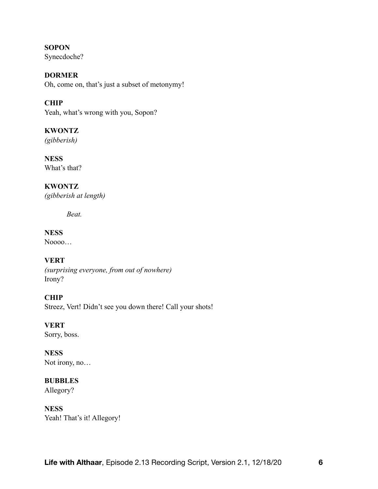**SOPON**  Synecdoche?

**DORMER**  Oh, come on, that's just a subset of metonymy!

# **CHIP**

Yeah, what's wrong with you, Sopon?

# **KWONTZ**

*(gibberish)* 

**NESS**  What's that?

**KWONTZ**  *(gibberish at length)* 

*Beat.* 

# **NESS**

Noooo…

# **VERT**

*(surprising everyone, from out of nowhere)*  Irony?

### **CHIP**

Streez, Vert! Didn't see you down there! Call your shots!

# **VERT**

Sorry, boss.

# **NESS**

Not irony, no…

# **BUBBLES**

Allegory?

# **NESS**

Yeah! That's it! Allegory!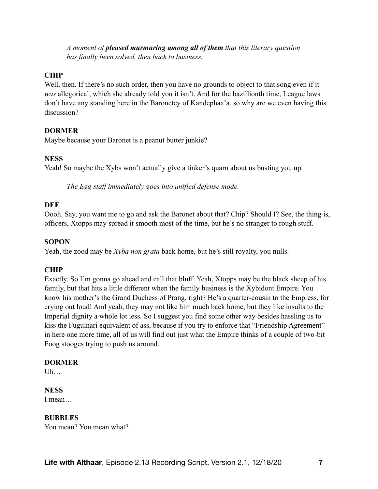*A moment of pleased murmuring among all of them that this literary question has finally been solved, then back to business.* 

# **CHIP**

Well, then. If there's no such order, then you have no grounds to object to that song even if it *was* allegorical, which she already told you it isn't. And for the bazillionth time, League laws don't have any standing here in the Baronetcy of Kandephaa'a, so why are we even having this discussion?

# **DORMER**

Maybe because your Baronet is a peanut butter junkie?

# **NESS**

Yeah! So maybe the Xybs won't actually give a tinker's quarn about us busting you up.

*The Egg staff immediately goes into unified defense mode.* 

# **DEE**

Oooh. Say, you want me to go and ask the Baronet about that? Chip? Should I? See, the thing is, officers, Xtopps may spread it smooth most of the time, but he's no stranger to rough stuff.

# **SOPON**

Yeah, the zood may be *Xyba non grata* back home, but he's still royalty, you nulls.

# **CHIP**

Exactly. So I'm gonna go ahead and call that bluff. Yeah, Xtopps may be the black sheep of his family, but that hits a little different when the family business is the Xybidont Empire. You know his mother's the Grand Duchess of Prang, right? He's a quarter-cousin to the Empress, for crying out loud! And yeah, they may not like him much back home, but they like insults to the Imperial dignity a whole lot less. So I suggest you find some other way besides hassling us to kiss the Fugulnari equivalent of ass, because if you try to enforce that "Friendship Agreement" in here one more time, all of us will find out just what the Empire thinks of a couple of two-bit Foog stooges trying to push us around.

### **DORMER**

Uh…

**NESS**  I mean…

# **BUBBLES**

You mean? You mean what?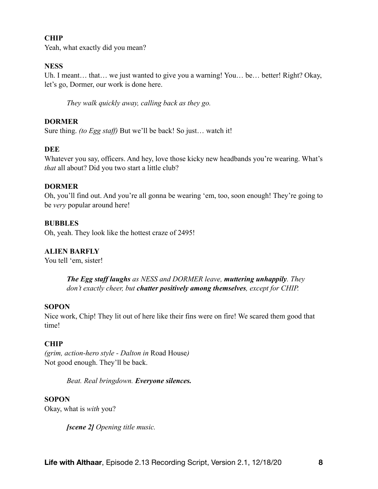# **CHIP**

Yeah, what exactly did you mean?

# **NESS**

Uh. I meant… that… we just wanted to give you a warning! You… be… better! Right? Okay, let's go, Dormer, our work is done here.

*They walk quickly away, calling back as they go.* 

# **DORMER**

Sure thing. *(to Egg staff)* But we'll be back! So just… watch it!

# **DEE**

Whatever you say, officers. And hey, love those kicky new headbands you're wearing. What's *that* all about? Did you two start a little club?

# **DORMER**

Oh, you'll find out. And you're all gonna be wearing 'em, too, soon enough! They're going to be *very* popular around here!

# **BUBBLES**

Oh, yeah. They look like the hottest craze of 2495!

# **ALIEN BARFLY**

You tell 'em, sister!

*The Egg staff laughs as NESS and DORMER leave, muttering unhappily. They don't exactly cheer, but chatter positively among themselves, except for CHIP.* 

### **SOPON**

Nice work, Chip! They lit out of here like their fins were on fire! We scared them good that time!

# **CHIP**

*(grim, action-hero style - Dalton in* Road House*)*  Not good enough. They'll be back.

*Beat. Real bringdown. Everyone silences.*

### **SOPON**

Okay, what is *with* you?

*[scene 2] Opening title music.*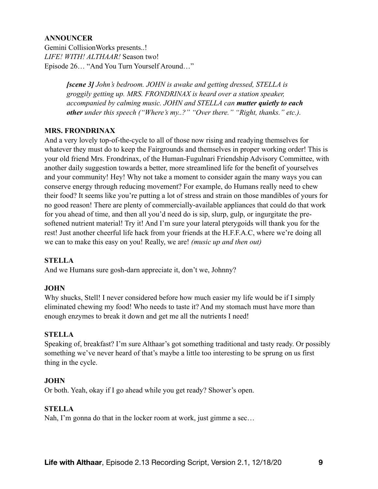# **ANNOUNCER**

Gemini CollisionWorks presents..! *LIFE! WITH! ALTHAAR!* Season two! Episode 26… "And You Turn Yourself Around…"

> *[scene 3] John's bedroom. JOHN is awake and getting dressed, STELLA is groggily getting up. MRS. FRONDRINAX is heard over a station speaker, accompanied by calming music. JOHN and STELLA can mutter quietly to each other under this speech ("Where's my..?" "Over there." "Right, thanks." etc.).*

### **MRS. FRONDRINAX**

And a very lovely top-of-the-cycle to all of those now rising and readying themselves for whatever they must do to keep the Fairgrounds and themselves in proper working order! This is your old friend Mrs. Frondrinax, of the Human-Fugulnari Friendship Advisory Committee, with another daily suggestion towards a better, more streamlined life for the benefit of yourselves and your community! Hey! Why not take a moment to consider again the many ways you can conserve energy through reducing movement? For example, do Humans really need to chew their food? It seems like you're putting a lot of stress and strain on those mandibles of yours for no good reason! There are plenty of commercially-available appliances that could do that work for you ahead of time, and then all you'd need do is sip, slurp, gulp, or ingurgitate the presoftened nutrient material! Try it! And I'm sure your lateral pterygoids will thank you for the rest! Just another cheerful life hack from your friends at the H.F.F.A.C, where we're doing all we can to make this easy on you! Really, we are! *(music up and then out)* 

### **STELLA**

And we Humans sure gosh-darn appreciate it, don't we, Johnny?

### **JOHN**

Why shucks, Stell! I never considered before how much easier my life would be if I simply eliminated chewing my food! Who needs to taste it? And my stomach must have more than enough enzymes to break it down and get me all the nutrients I need!

### **STELLA**

Speaking of, breakfast? I'm sure Althaar's got something traditional and tasty ready. Or possibly something we've never heard of that's maybe a little too interesting to be sprung on us first thing in the cycle.

#### **JOHN**

Or both. Yeah, okay if I go ahead while you get ready? Shower's open.

#### **STELLA**

Nah, I'm gonna do that in the locker room at work, just gimme a sec…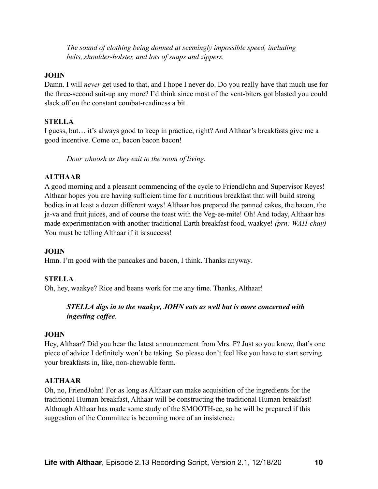*The sound of clothing being donned at seemingly impossible speed, including belts, shoulder-holster, and lots of snaps and zippers.* 

#### **JOHN**

Damn. I will *never* get used to that, and I hope I never do. Do you really have that much use for the three-second suit-up any more? I'd think since most of the vent-biters got blasted you could slack off on the constant combat-readiness a bit.

# **STELLA**

I guess, but… it's always good to keep in practice, right? And Althaar's breakfasts give me a good incentive. Come on, bacon bacon bacon!

*Door whoosh as they exit to the room of living.* 

### **ALTHAAR**

A good morning and a pleasant commencing of the cycle to FriendJohn and Supervisor Reyes! Althaar hopes you are having sufficient time for a nutritious breakfast that will build strong bodies in at least a dozen different ways! Althaar has prepared the panned cakes, the bacon, the ja-va and fruit juices, and of course the toast with the Veg-ee-mite! Oh! And today, Althaar has made experimentation with another traditional Earth breakfast food, waakye! *(prn: WAH-chay)* You must be telling Althaar if it is success!

### **JOHN**

Hmn. I'm good with the pancakes and bacon, I think. Thanks anyway.

### **STELLA**

Oh, hey, waakye? Rice and beans work for me any time. Thanks, Althaar!

# *STELLA digs in to the waakye, JOHN eats as well but is more concerned with ingesting coffee.*

### **JOHN**

Hey, Althaar? Did you hear the latest announcement from Mrs. F? Just so you know, that's one piece of advice I definitely won't be taking. So please don't feel like you have to start serving your breakfasts in, like, non-chewable form.

### **ALTHAAR**

Oh, no, FriendJohn! For as long as Althaar can make acquisition of the ingredients for the traditional Human breakfast, Althaar will be constructing the traditional Human breakfast! Although Althaar has made some study of the SMOOTH-ee, so he will be prepared if this suggestion of the Committee is becoming more of an insistence.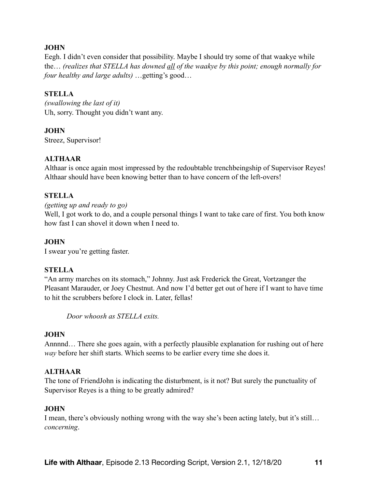# **JOHN**

Eegh. I didn't even consider that possibility. Maybe I should try some of that waakye while the… *(realizes that STELLA has downed all of the waakye by this point; enough normally for four healthy and large adults)* …getting's good…

### **STELLA**

*(swallowing the last of it)*  Uh, sorry. Thought you didn't want any.

# **JOHN**

Streez, Supervisor!

# **ALTHAAR**

Althaar is once again most impressed by the redoubtable trenchbeingship of Supervisor Reyes! Althaar should have been knowing better than to have concern of the left-overs!

# **STELLA**

#### *(getting up and ready to go)*

Well, I got work to do, and a couple personal things I want to take care of first. You both know how fast I can shovel it down when I need to.

# **JOHN**

I swear you're getting faster.

### **STELLA**

"An army marches on its stomach," Johnny. Just ask Frederick the Great, Vortzanger the Pleasant Marauder, or Joey Chestnut. And now I'd better get out of here if I want to have time to hit the scrubbers before I clock in. Later, fellas!

*Door whoosh as STELLA exits.* 

### **JOHN**

Annnnd… There she goes again, with a perfectly plausible explanation for rushing out of here *way* before her shift starts. Which seems to be earlier every time she does it.

### **ALTHAAR**

The tone of FriendJohn is indicating the disturbment, is it not? But surely the punctuality of Supervisor Reyes is a thing to be greatly admired?

### **JOHN**

I mean, there's obviously nothing wrong with the way she's been acting lately, but it's still… *concerning*.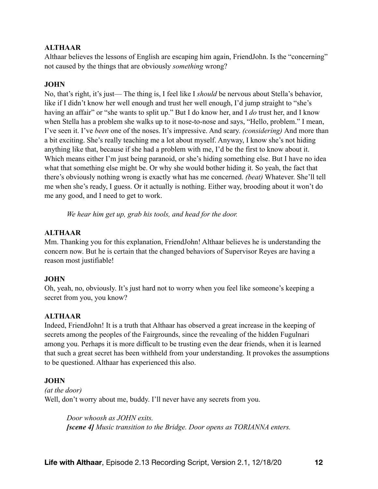# **ALTHAAR**

Althaar believes the lessons of English are escaping him again, FriendJohn. Is the "concerning" not caused by the things that are obviously *something* wrong?

# **JOHN**

No, that's right, it's just— The thing is, I feel like I *should* be nervous about Stella's behavior, like if I didn't know her well enough and trust her well enough, I'd jump straight to "she's having an affair" or "she wants to split up." But I do know her, and I *do* trust her, and I know when Stella has a problem she walks up to it nose-to-nose and says, "Hello, problem." I mean, I've seen it. I've *been* one of the noses. It's impressive. And scary. *(considering)* And more than a bit exciting. She's really teaching me a lot about myself. Anyway, I know she's not hiding anything like that, because if she had a problem with me, I'd be the first to know about it. Which means either I'm just being paranoid, or she's hiding something else. But I have no idea what that something else might be. Or why she would bother hiding it. So yeah, the fact that there's obviously nothing wrong is exactly what has me concerned. *(beat)* Whatever. She'll tell me when she's ready, I guess. Or it actually is nothing. Either way, brooding about it won't do me any good, and I need to get to work.

*We hear him get up, grab his tools, and head for the door.* 

### **ALTHAAR**

Mm. Thanking you for this explanation, FriendJohn! Althaar believes he is understanding the concern now. But he is certain that the changed behaviors of Supervisor Reyes are having a reason most justifiable!

### **JOHN**

Oh, yeah, no, obviously. It's just hard not to worry when you feel like someone's keeping a secret from you, you know?

### **ALTHAAR**

Indeed, FriendJohn! It is a truth that Althaar has observed a great increase in the keeping of secrets among the peoples of the Fairgrounds, since the revealing of the hidden Fugulnari among you. Perhaps it is more difficult to be trusting even the dear friends, when it is learned that such a great secret has been withheld from your understanding. It provokes the assumptions to be questioned. Althaar has experienced this also.

# **JOHN**

*(at the door)*  Well, don't worry about me, buddy. I'll never have any secrets from you.

> *Door whoosh as JOHN exits. [scene 4] Music transition to the Bridge. Door opens as TORIANNA enters.*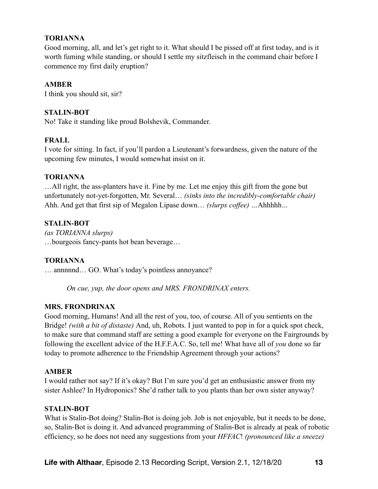# **TORIANNA**

Good morning, all, and let's get right to it. What should I be pissed off at first today, and is it worth fuming while standing, or should I settle my sitzfleisch in the command chair before I commence my first daily eruption?

# **AMBER**

I think you should sit, sir?

# **STALIN-BOT**

No! Take it standing like proud Bolshevik, Commander.

# **FRALL**

I vote for sitting. In fact, if you'll pardon a Lieutenant's forwardness, given the nature of the upcoming few minutes, I would somewhat insist on it.

### **TORIANNA**

…All right, the ass-planters have it. Fine by me. Let me enjoy this gift from the gone but unfortunately not-yet-forgotten, Mr. Several… *(sinks into the incredibly-comfortable chair)*  Ahh. And get that first sip of Megalon Lipase down… *(slurps coffee) …*Ahhhhh*…*

# **STALIN-BOT**

*(as TORIANNA slurps)*  …bourgeois fancy-pants hot bean beverage…

# **TORIANNA**

… annnnnd… GO. What's today's pointless annoyance?

*On cue, yup, the door opens and MRS. FRONDRINAX enters.* 

### **MRS. FRONDRINAX**

Good morning, Humans! And all the rest of you, too, of course. All of you sentients on the Bridge! *(with a bit of distaste)* And, uh, Robots. I just wanted to pop in for a quick spot check, to make sure that command staff are setting a good example for everyone on the Fairgrounds by following the excellent advice of the H.F.F.A.C. So, tell me! What have all of *you* done so far today to promote adherence to the Friendship Agreement through your actions?

### **AMBER**

I would rather not say? If it's okay? But I'm sure you'd get an enthusiastic answer from my sister Ashlee? In Hydroponics? She'd rather talk to you plants than her own sister anyway?

### **STALIN-BOT**

What is Stalin-Bot doing? Stalin-Bot is doing job. Job is not enjoyable, but it needs to be done, so, Stalin-Bot is doing it. And advanced programming of Stalin-Bot is already at peak of robotic efficiency, so he does not need any suggestions from your *HFFAC*! *(pronounced like a sneeze)*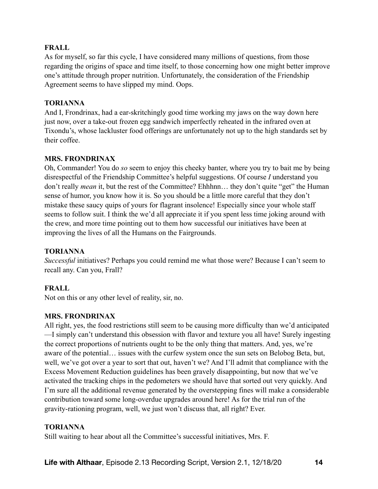# **FRALL**

As for myself, so far this cycle, I have considered many millions of questions, from those regarding the origins of space and time itself, to those concerning how one might better improve one's attitude through proper nutrition. Unfortunately, the consideration of the Friendship Agreement seems to have slipped my mind. Oops.

# **TORIANNA**

And I, Frondrinax, had a ear-skritchingly good time working my jaws on the way down here just now, over a take-out frozen egg sandwich imperfectly reheated in the infrared oven at Tixondu's, whose lackluster food offerings are unfortunately not up to the high standards set by their coffee.

### **MRS. FRONDRINAX**

Oh, Commander! You do *so* seem to enjoy this cheeky banter, where you try to bait me by being disrespectful of the Friendship Committee's helpful suggestions. Of course *I* understand you don't really *mean* it, but the rest of the Committee? Ehhhnn… they don't quite "get" the Human sense of humor, you know how it is. So you should be a little more careful that they don't mistake these saucy quips of yours for flagrant insolence! Especially since your whole staff seems to follow suit. I think the we'd all appreciate it if you spent less time joking around with the crew, and more time pointing out to them how successful our initiatives have been at improving the lives of all the Humans on the Fairgrounds.

### **TORIANNA**

*Successful* initiatives? Perhaps you could remind me what those were? Because I can't seem to recall any. Can you, Frall?

# **FRALL**

Not on this or any other level of reality, sir, no.

# **MRS. FRONDRINAX**

All right, yes, the food restrictions still seem to be causing more difficulty than we'd anticipated —I simply can't understand this obsession with flavor and texture you all have! Surely ingesting the correct proportions of nutrients ought to be the only thing that matters. And, yes, we're aware of the potential… issues with the curfew system once the sun sets on Belobog Beta, but, well, we've got over a year to sort that out, haven't we? And I'll admit that compliance with the Excess Movement Reduction guidelines has been gravely disappointing, but now that we've activated the tracking chips in the pedometers we should have that sorted out very quickly. And I'm sure all the additional revenue generated by the overstepping fines will make a considerable contribution toward some long-overdue upgrades around here! As for the trial run of the gravity-rationing program, well, we just won't discuss that, all right? Ever.

### **TORIANNA**

Still waiting to hear about all the Committee's successful initiatives, Mrs. F.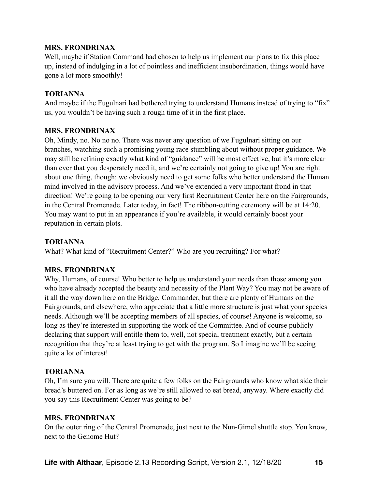### **MRS. FRONDRINAX**

Well, maybe if Station Command had chosen to help us implement our plans to fix this place up, instead of indulging in a lot of pointless and inefficient insubordination, things would have gone a lot more smoothly!

### **TORIANNA**

And maybe if the Fugulnari had bothered trying to understand Humans instead of trying to "fix" us, you wouldn't be having such a rough time of it in the first place.

# **MRS. FRONDRINAX**

Oh, Mindy, no. No no no. There was never any question of we Fugulnari sitting on our branches, watching such a promising young race stumbling about without proper guidance. We may still be refining exactly what kind of "guidance" will be most effective, but it's more clear than ever that you desperately need it, and we're certainly not going to give up! You are right about one thing, though: we obviously need to get some folks who better understand the Human mind involved in the advisory process. And we've extended a very important frond in that direction! We're going to be opening our very first Recruitment Center here on the Fairgrounds, in the Central Promenade. Later today, in fact! The ribbon-cutting ceremony will be at 14:20. You may want to put in an appearance if you're available, it would certainly boost your reputation in certain plots.

# **TORIANNA**

What? What kind of "Recruitment Center?" Who are you recruiting? For what?

# **MRS. FRONDRINAX**

Why, Humans, of course! Who better to help us understand your needs than those among you who have already accepted the beauty and necessity of the Plant Way? You may not be aware of it all the way down here on the Bridge, Commander, but there are plenty of Humans on the Fairgrounds, and elsewhere, who appreciate that a little more structure is just what your species needs. Although we'll be accepting members of all species, of course! Anyone is welcome, so long as they're interested in supporting the work of the Committee. And of course publicly declaring that support will entitle them to, well, not special treatment exactly, but a certain recognition that they're at least trying to get with the program. So I imagine we'll be seeing quite a lot of interest!

# **TORIANNA**

Oh, I'm sure you will. There are quite a few folks on the Fairgrounds who know what side their bread's buttered on. For as long as we're still allowed to eat bread, anyway. Where exactly did you say this Recruitment Center was going to be?

# **MRS. FRONDRINAX**

On the outer ring of the Central Promenade, just next to the Nun-Gimel shuttle stop. You know, next to the Genome Hut?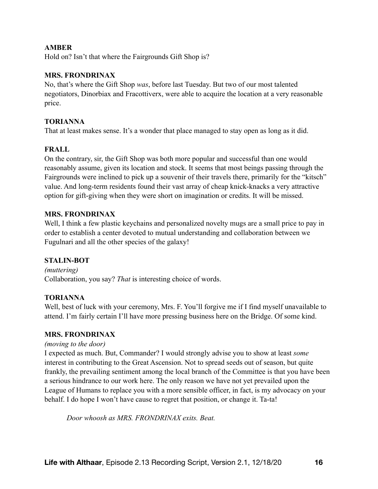#### **AMBER**

Hold on? Isn't that where the Fairgrounds Gift Shop is?

#### **MRS. FRONDRINAX**

No, that's where the Gift Shop *was*, before last Tuesday. But two of our most talented negotiators, Dinorbiax and Fracottiverx, were able to acquire the location at a very reasonable price.

#### **TORIANNA**

That at least makes sense. It's a wonder that place managed to stay open as long as it did.

### **FRALL**

On the contrary, sir, the Gift Shop was both more popular and successful than one would reasonably assume, given its location and stock. It seems that most beings passing through the Fairgrounds were inclined to pick up a souvenir of their travels there, primarily for the "kitsch" value. And long-term residents found their vast array of cheap knick-knacks a very attractive option for gift-giving when they were short on imagination or credits. It will be missed.

#### **MRS. FRONDRINAX**

Well, I think a few plastic keychains and personalized novelty mugs are a small price to pay in order to establish a center devoted to mutual understanding and collaboration between we Fugulnari and all the other species of the galaxy!

### **STALIN-BOT**

*(muttering)*  Collaboration, you say? *That* is interesting choice of words.

#### **TORIANNA**

Well, best of luck with your ceremony, Mrs. F. You'll forgive me if I find myself unavailable to attend. I'm fairly certain I'll have more pressing business here on the Bridge. Of some kind.

#### **MRS. FRONDRINAX**

#### *(moving to the door)*

I expected as much. But, Commander? I would strongly advise you to show at least *some* interest in contributing to the Great Ascension. Not to spread seeds out of season, but quite frankly, the prevailing sentiment among the local branch of the Committee is that you have been a serious hindrance to our work here. The only reason we have not yet prevailed upon the League of Humans to replace you with a more sensible officer, in fact, is my advocacy on your behalf. I do hope I won't have cause to regret that position, or change it. Ta-ta!

*Door whoosh as MRS. FRONDRINAX exits. Beat.*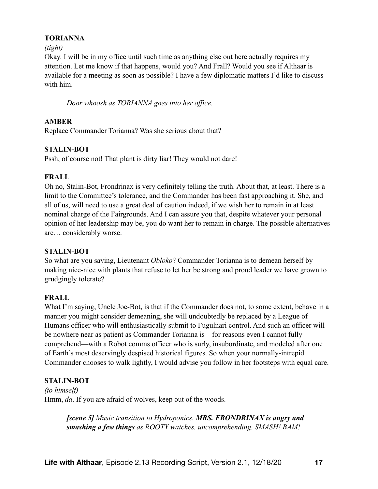# **TORIANNA**

*(tight)* 

Okay. I will be in my office until such time as anything else out here actually requires my attention. Let me know if that happens, would you? And Frall? Would you see if Althaar is available for a meeting as soon as possible? I have a few diplomatic matters I'd like to discuss with him.

*Door whoosh as TORIANNA goes into her office.* 

# **AMBER**

Replace Commander Torianna? Was she serious about that?

# **STALIN-BOT**

Pssh, of course not! That plant is dirty liar! They would not dare!

# **FRALL**

Oh no, Stalin-Bot, Frondrinax is very definitely telling the truth. About that, at least. There is a limit to the Committee's tolerance, and the Commander has been fast approaching it. She, and all of us, will need to use a great deal of caution indeed, if we wish her to remain in at least nominal charge of the Fairgrounds. And I can assure you that, despite whatever your personal opinion of her leadership may be, you do want her to remain in charge. The possible alternatives are… considerably worse.

# **STALIN-BOT**

So what are you saying, Lieutenant *Obloko*? Commander Torianna is to demean herself by making nice-nice with plants that refuse to let her be strong and proud leader we have grown to grudgingly tolerate?

### **FRALL**

What I'm saying, Uncle Joe-Bot, is that if the Commander does not, to some extent, behave in a manner you might consider demeaning, she will undoubtedly be replaced by a League of Humans officer who will enthusiastically submit to Fugulnari control. And such an officer will be nowhere near as patient as Commander Torianna is—for reasons even I cannot fully comprehend—with a Robot comms officer who is surly, insubordinate, and modeled after one of Earth's most deservingly despised historical figures. So when your normally-intrepid Commander chooses to walk lightly, I would advise you follow in her footsteps with equal care.

# **STALIN-BOT**

*(to himself)*  Hmm, *da*. If you are afraid of wolves, keep out of the woods.

> *[scene 5] Music transition to Hydroponics. MRS. FRONDRINAX is angry and smashing a few things as ROOTY watches, uncomprehending. SMASH! BAM!*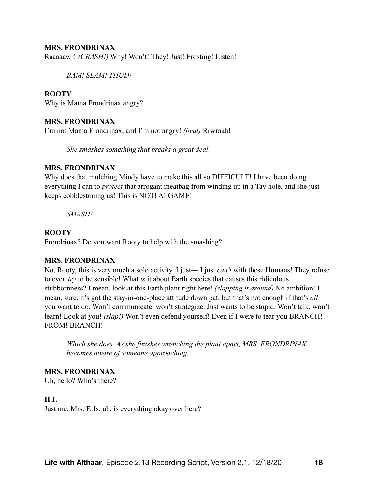### **MRS. FRONDRINAX**

Raaaaawr! *(CRASH!)* Why! Won't! They! Just! Frosting! Listen!

*BAM! SLAM! THUD!* 

# **ROOTY**

Why is Mama Frondrinax angry?

# **MRS. FRONDRINAX**

I'm not Mama Frondrinax, and I'm not angry! *(beat)* Rrwraah!

*She smashes something that breaks a great deal.* 

### **MRS. FRONDRINAX**

Why does that mulching Mindy have to make this all so DIFFICULT! I have been doing everything I can to *protect* that arrogant meatbag from winding up in a Tav hole, and she just keeps cobblestoning us! This is NOT! A! GAME!

*SMASH!* 

### **ROOTY**

Frondrinax? Do you want Rooty to help with the smashing?

### **MRS. FRONDRINAX**

No, Rooty, this is very much a solo activity. I just— I just *can't* with these Humans! They refuse to even *try* to be sensible! What *is* it about Earth species that causes this ridiculous stubbornness? I mean, look at this Earth plant right here! *(slapping it around)* No ambition! I mean, sure, it's got the stay-in-one-place attitude down pat, but that's not enough if that's *all*  you want to do. Won't communicate, won't strategize. Just wants to be stupid. Won't talk, won't learn! Look at you! *(slap!)* Won't even defend yourself! Even if I were to tear you BRANCH! FROM! BRANCH!

*Which she does. As she finishes wrenching the plant apart, MRS. FRONDRINAX becomes aware of someone approaching.* 

### **MRS. FRONDRINAX**

Uh, hello? Who's there?

### **H.F.**

Just me, Mrs. F. Is, uh, is everything okay over here?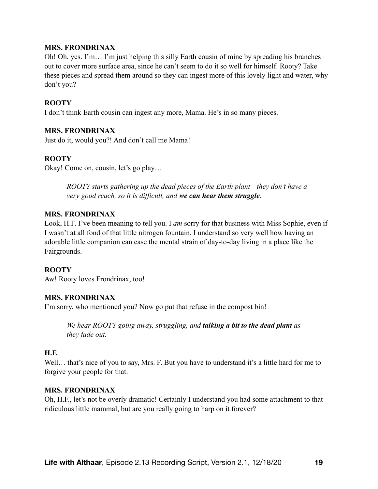#### **MRS. FRONDRINAX**

Oh! Oh, yes. I'm… I'm just helping this silly Earth cousin of mine by spreading his branches out to cover more surface area, since he can't seem to do it so well for himself. Rooty? Take these pieces and spread them around so they can ingest more of this lovely light and water, why don't you?

# **ROOTY**

I don't think Earth cousin can ingest any more, Mama. He's in so many pieces.

#### **MRS. FRONDRINAX**

Just do it, would you?! And don't call me Mama!

#### **ROOTY**

Okay! Come on, cousin, let's go play…

*ROOTY starts gathering up the dead pieces of the Earth plant—they don't have a very good reach, so it is difficult, and we can hear them struggle.* 

#### **MRS. FRONDRINAX**

Look, H.F. I've been meaning to tell you. I *am* sorry for that business with Miss Sophie, even if I wasn't at all fond of that little nitrogen fountain. I understand so very well how having an adorable little companion can ease the mental strain of day-to-day living in a place like the Fairgrounds.

#### **ROOTY**

Aw! Rooty loves Frondrinax, too!

#### **MRS. FRONDRINAX**

I'm sorry, who mentioned you? Now go put that refuse in the compost bin!

*We hear ROOTY going away, struggling, and talking a bit to the dead plant as they fade out.* 

#### **H.F.**

Well... that's nice of you to say, Mrs. F. But you have to understand it's a little hard for me to forgive your people for that.

#### **MRS. FRONDRINAX**

Oh, H.F., let's not be overly dramatic! Certainly I understand you had some attachment to that ridiculous little mammal, but are you really going to harp on it forever?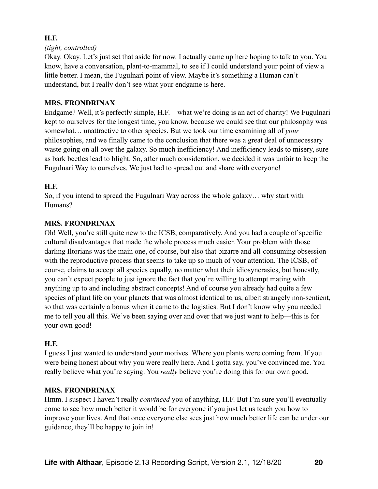# **H.F.**

# *(tight, controlled)*

Okay. Okay. Let's just set that aside for now. I actually came up here hoping to talk to you. You know, have a conversation, plant-to-mammal, to see if I could understand your point of view a little better. I mean, the Fugulnari point of view. Maybe it's something a Human can't understand, but I really don't see what your endgame is here.

# **MRS. FRONDRINAX**

Endgame? Well, it's perfectly simple, H.F.—what we're doing is an act of charity! We Fugulnari kept to ourselves for the longest time, you know, because we could see that our philosophy was somewhat… unattractive to other species. But we took our time examining all of *your* philosophies, and we finally came to the conclusion that there was a great deal of unnecessary waste going on all over the galaxy. So much inefficiency! And inefficiency leads to misery, sure as bark beetles lead to blight. So, after much consideration, we decided it was unfair to keep the Fugulnari Way to ourselves. We just had to spread out and share with everyone!

# **H.F.**

So, if you intend to spread the Fugulnari Way across the whole galaxy… why start with Humans?

# **MRS. FRONDRINAX**

Oh! Well, you're still quite new to the ICSB, comparatively. And you had a couple of specific cultural disadvantages that made the whole process much easier. Your problem with those darling Iltorians was the main one, of course, but also that bizarre and all-consuming obsession with the reproductive process that seems to take up so much of your attention. The ICSB, of course, claims to accept all species equally, no matter what their idiosyncrasies, but honestly, you can't expect people to just ignore the fact that you're willing to attempt mating with anything up to and including abstract concepts! And of course you already had quite a few species of plant life on your planets that was almost identical to us, albeit strangely non-sentient, so that was certainly a bonus when it came to the logistics. But I don't know why you needed me to tell you all this. We've been saying over and over that we just want to help—this is for your own good!

### **H.F.**

I guess I just wanted to understand your motives. Where you plants were coming from. If you were being honest about why you were really here. And I gotta say, you've convinced me. You really believe what you're saying. You *really* believe you're doing this for our own good.

### **MRS. FRONDRINAX**

Hmm. I suspect I haven't really *convinced* you of anything, H.F. But I'm sure you'll eventually come to see how much better it would be for everyone if you just let us teach you how to improve your lives. And that once everyone else sees just how much better life can be under our guidance, they'll be happy to join in!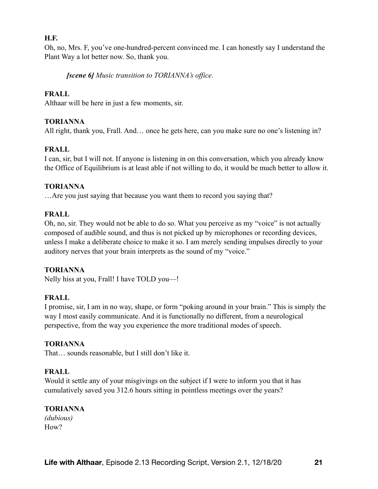### **H.F.**

Oh, no, Mrs. F, you've one-hundred-percent convinced me. I can honestly say I understand the Plant Way a lot better now. So, thank you.

*[scene 6] Music transition to TORIANNA's office.* 

# **FRALL**

Althaar will be here in just a few moments, sir.

# **TORIANNA**

All right, thank you, Frall. And… once he gets here, can you make sure no one's listening in?

# **FRALL**

I can, sir, but I will not. If anyone is listening in on this conversation, which you already know the Office of Equilibrium is at least able if not willing to do, it would be much better to allow it.

### **TORIANNA**

…Are you just saying that because you want them to record you saying that?

### **FRALL**

Oh, no, sir. They would not be able to do so. What you perceive as my "voice" is not actually composed of audible sound, and thus is not picked up by microphones or recording devices, unless I make a deliberate choice to make it so. I am merely sending impulses directly to your auditory nerves that your brain interprets as the sound of my "voice."

### **TORIANNA**

Nelly hiss at you, Frall! I have TOLD you—!

### **FRALL**

I promise, sir, I am in no way, shape, or form "poking around in your brain." This is simply the way I most easily communicate. And it is functionally no different, from a neurological perspective, from the way you experience the more traditional modes of speech.

### **TORIANNA**

That… sounds reasonable, but I still don't like it.

### **FRALL**

Would it settle any of your misgivings on the subject if I were to inform you that it has cumulatively saved you 312.6 hours sitting in pointless meetings over the years?

### **TORIANNA**

*(dubious)*  H<sub>ow</sub>?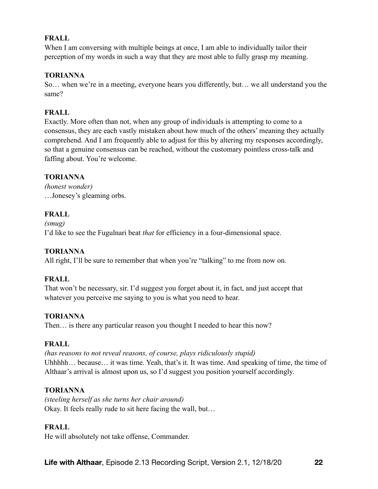# **FRALL**

When I am conversing with multiple beings at once, I am able to individually tailor their perception of my words in such a way that they are most able to fully grasp my meaning.

# **TORIANNA**

So… when we're in a meeting, everyone hears you differently, but… we all understand you the same?

# **FRALL**

Exactly. More often than not, when any group of individuals is attempting to come to a consensus, they are each vastly mistaken about how much of the others' meaning they actually comprehend. And I am frequently able to adjust for this by altering my responses accordingly, so that a genuine consensus can be reached, without the customary pointless cross-talk and faffing about. You're welcome.

# **TORIANNA**

*(honest wonder)*  …Jonesey's gleaming orbs.

# **FRALL**

*(smug)*  I'd like to see the Fugulnari beat *that* for efficiency in a four-dimensional space.

# **TORIANNA**

All right, I'll be sure to remember that when you're "talking" to me from now on.

# **FRALL**

That won't be necessary, sir. I'd suggest you forget about it, in fact, and just accept that whatever you perceive me saying to you is what you need to hear.

# **TORIANNA**

Then… is there any particular reason you thought I needed to hear this now?

# **FRALL**

*(has reasons to not reveal reasons, of course, plays ridiculously stupid)*  Uhhhhh… because… it was time. Yeah, that's it. It was time. And speaking of time, the time of Althaar's arrival is almost upon us, so I'd suggest you position yourself accordingly.

### **TORIANNA**

*(steeling herself as she turns her chair around)*  Okay. It feels really rude to sit here facing the wall, but…

# **FRALL**

He will absolutely not take offense, Commander.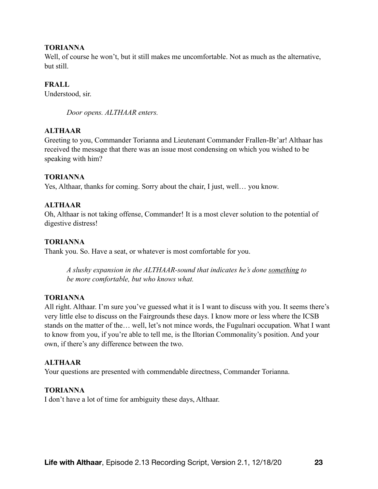#### **TORIANNA**

Well, of course he won't, but it still makes me uncomfortable. Not as much as the alternative, but still.

#### **FRALL**

Understood, sir.

*Door opens. ALTHAAR enters.* 

#### **ALTHAAR**

Greeting to you, Commander Torianna and Lieutenant Commander Frallen-Br'ar! Althaar has received the message that there was an issue most condensing on which you wished to be speaking with him?

#### **TORIANNA**

Yes, Althaar, thanks for coming. Sorry about the chair, I just, well… you know.

### **ALTHAAR**

Oh, Althaar is not taking offense, Commander! It is a most clever solution to the potential of digestive distress!

#### **TORIANNA**

Thank you. So. Have a seat, or whatever is most comfortable for you.

*A slushy expansion in the ALTHAAR-sound that indicates he's done something to be more comfortable, but who knows what.* 

#### **TORIANNA**

All right. Althaar. I'm sure you've guessed what it is I want to discuss with you. It seems there's very little else to discuss on the Fairgrounds these days. I know more or less where the ICSB stands on the matter of the… well, let's not mince words, the Fugulnari occupation. What I want to know from you, if you're able to tell me, is the Iltorian Commonality's position. And your own, if there's any difference between the two.

#### **ALTHAAR**

Your questions are presented with commendable directness, Commander Torianna.

#### **TORIANNA**

I don't have a lot of time for ambiguity these days, Althaar.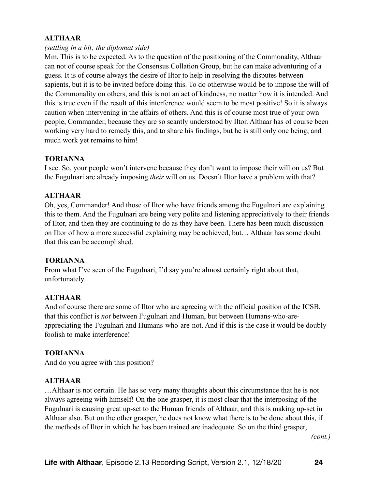# **ALTHAAR**

#### *(settling in a bit; the diplomat side)*

Mm. This is to be expected. As to the question of the positioning of the Commonality, Althaar can not of course speak for the Consensus Collation Group, but he can make adventuring of a guess. It is of course always the desire of Iltor to help in resolving the disputes between sapients, but it is to be invited before doing this. To do otherwise would be to impose the will of the Commonality on others, and this is not an act of kindness, no matter how it is intended. And this is true even if the result of this interference would seem to be most positive! So it is always caution when intervening in the affairs of others. And this is of course most true of your own people, Commander, because they are so scantly understood by Iltor. Althaar has of course been working very hard to remedy this, and to share his findings, but he is still only one being, and much work yet remains to him!

#### **TORIANNA**

I see. So, your people won't intervene because they don't want to impose their will on us? But the Fugulnari are already imposing *their* will on us. Doesn't Iltor have a problem with that?

#### **ALTHAAR**

Oh, yes, Commander! And those of Iltor who have friends among the Fugulnari are explaining this to them. And the Fugulnari are being very polite and listening appreciatively to their friends of Iltor, and then they are continuing to do as they have been. There has been much discussion on Iltor of how a more successful explaining may be achieved, but… Althaar has some doubt that this can be accomplished.

#### **TORIANNA**

From what I've seen of the Fugulnari, I'd say you're almost certainly right about that, unfortunately.

#### **ALTHAAR**

And of course there are some of Iltor who are agreeing with the official position of the ICSB, that this conflict is *not* between Fugulnari and Human, but between Humans-who-areappreciating-the-Fugulnari and Humans-who-are-not. And if this is the case it would be doubly foolish to make interference!

#### **TORIANNA**

And do you agree with this position?

#### **ALTHAAR**

…Althaar is not certain. He has so very many thoughts about this circumstance that he is not always agreeing with himself! On the one grasper, it is most clear that the interposing of the Fugulnari is causing great up-set to the Human friends of Althaar, and this is making up-set in Althaar also. But on the other grasper, he does not know what there is to be done about this, if the methods of Iltor in which he has been trained are inadequate. So on the third grasper,

*(cont.)*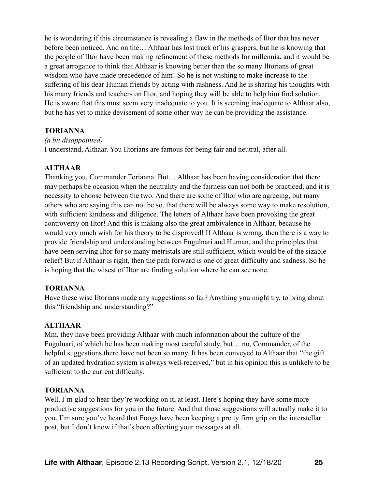he is wondering if this circumstance is revealing a flaw in the methods of Iltor that has never before been noticed. And on the… Althaar has lost track of his graspers, but he is knowing that the people of Iltor have been making refinement of these methods for millennia, and it would be a great arrogance to think that Althaar is knowing better than the so many Iltorians of great wisdom who have made precedence of him! So he is not wishing to make increase to the suffering of his dear Human friends by acting with rashness. And he is sharing his thoughts with his many friends and teachers on Iltor, and hoping they will be able to help him find solution. He is aware that this must seem very inadequate to you. It is seeming inadequate to Althaar also, but he has yet to make devisement of some other way he can be providing the assistance.

#### **TORIANNA**

#### *(a bit disappointed)*

I understand, Althaar. You Iltorians are famous for being fair and neutral, after all.

#### **ALTHAAR**

Thanking you, Commander Torianna. But… Althaar has been having consideration that there may perhaps be occasion when the neutrality and the fairness can not both be practiced, and it is necessity to choose between the two. And there are some of Iltor who are agreeing, but many others who are saying this can not be so, that there will be always some way to make resolution, with sufficient kindness and diligence. The letters of Althaar have been provoking the great controversy on Iltor! And this is making also the great ambivalence in Althaar, because he would very much wish for his theory to be disproved! If Althaar is wrong, then there is a way to provide friendship and understanding between Fugulnari and Human, and the principles that have been serving Iltor for so many metristals are still sufficient, which would be of the sizable relief! But if Althaar is right, then the path forward is one of great difficulty and sadness. So he is hoping that the wisest of Iltor are finding solution where he can see none.

### **TORIANNA**

Have these wise Iltorians made any suggestions so far? Anything you might try, to bring about this "friendship and understanding?"

### **ALTHAAR**

Mm, they have been providing Althaar with much information about the culture of the Fugulnari, of which he has been making most careful study, but… no, Commander, of the helpful suggestions there have not been so many. It has been conveyed to Althaar that "the gift of an updated hydration system is always well-received," but in his opinion this is unlikely to be sufficient to the current difficulty.

#### **TORIANNA**

Well, I'm glad to hear they're working on it, at least. Here's hoping they have some more productive suggestions for you in the future. And that those suggestions will actually make it to you. I'm sure you've heard that Foogs have been keeping a pretty firm grip on the interstellar post, but I don't know if that's been affecting your messages at all.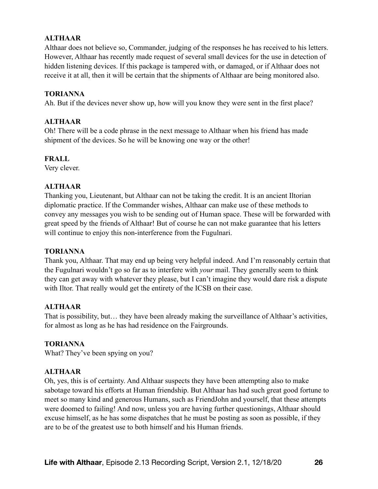# **ALTHAAR**

Althaar does not believe so, Commander, judging of the responses he has received to his letters. However, Althaar has recently made request of several small devices for the use in detection of hidden listening devices. If this package is tampered with, or damaged, or if Althaar does not receive it at all, then it will be certain that the shipments of Althaar are being monitored also.

#### **TORIANNA**

Ah. But if the devices never show up, how will you know they were sent in the first place?

#### **ALTHAAR**

Oh! There will be a code phrase in the next message to Althaar when his friend has made shipment of the devices. So he will be knowing one way or the other!

#### **FRALL**

Very clever.

#### **ALTHAAR**

Thanking you, Lieutenant, but Althaar can not be taking the credit. It is an ancient Iltorian diplomatic practice. If the Commander wishes, Althaar can make use of these methods to convey any messages you wish to be sending out of Human space. These will be forwarded with great speed by the friends of Althaar! But of course he can not make guarantee that his letters will continue to enjoy this non-interference from the Fugulnari.

#### **TORIANNA**

Thank you, Althaar. That may end up being very helpful indeed. And I'm reasonably certain that the Fugulnari wouldn't go so far as to interfere with *your* mail. They generally seem to think they can get away with whatever they please, but I can't imagine they would dare risk a dispute with Iltor. That really would get the entirety of the ICSB on their case.

#### **ALTHAAR**

That is possibility, but… they have been already making the surveillance of Althaar's activities, for almost as long as he has had residence on the Fairgrounds.

### **TORIANNA**

What? They've been spying on you?

### **ALTHAAR**

Oh, yes, this is of certainty. And Althaar suspects they have been attempting also to make sabotage toward his efforts at Human friendship. But Althaar has had such great good fortune to meet so many kind and generous Humans, such as FriendJohn and yourself, that these attempts were doomed to failing! And now, unless you are having further questionings, Althaar should excuse himself, as he has some dispatches that he must be posting as soon as possible, if they are to be of the greatest use to both himself and his Human friends.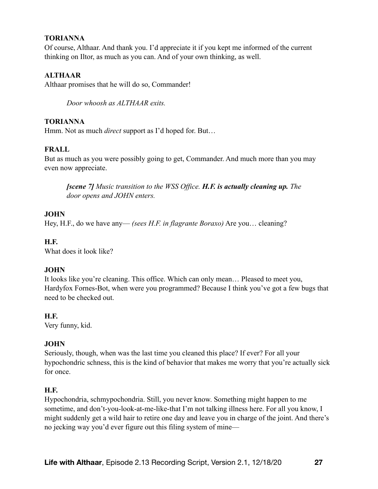# **TORIANNA**

Of course, Althaar. And thank you. I'd appreciate it if you kept me informed of the current thinking on Iltor, as much as you can. And of your own thinking, as well.

# **ALTHAAR**

Althaar promises that he will do so, Commander!

*Door whoosh as ALTHAAR exits.* 

# **TORIANNA**

Hmm. Not as much *direct* support as I'd hoped for. But…

# **FRALL**

But as much as you were possibly going to get, Commander. And much more than you may even now appreciate.

*[scene 7] Music transition to the WSS Office. H.F. is actually cleaning up. The door opens and JOHN enters.* 

# **JOHN**

Hey, H.F., do we have any— *(sees H.F. in flagrante Boraxo)* Are you… cleaning?

# **H.F.**

What does it look like?

### **JOHN**

It looks like you're cleaning. This office. Which can only mean… Pleased to meet you, Hardyfox Fornes-Bot, when were you programmed? Because I think you've got a few bugs that need to be checked out.

### **H.F.**

Very funny, kid.

### **JOHN**

Seriously, though, when was the last time you cleaned this place? If ever? For all your hypochondric schness, this is the kind of behavior that makes me worry that you're actually sick for once.

### **H.F.**

Hypochondria, schmypochondria. Still, you never know. Something might happen to me sometime, and don't-you-look-at-me-like-that I'm not talking illness here. For all you know, I might suddenly get a wild hair to retire one day and leave you in charge of the joint. And there's no jecking way you'd ever figure out this filing system of mine—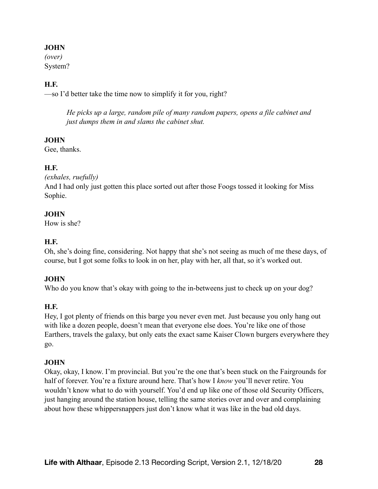# **JOHN**

*(over)*  System?

# **H.F.**

—so I'd better take the time now to simplify it for you, right?

*He picks up a large, random pile of many random papers, opens a file cabinet and just dumps them in and slams the cabinet shut.* 

# **JOHN**

Gee, thanks.

# **H.F.**

*(exhales, ruefully)* 

And I had only just gotten this place sorted out after those Foogs tossed it looking for Miss Sophie.

# **JOHN**

How is she?

# **H.F.**

Oh, she's doing fine, considering. Not happy that she's not seeing as much of me these days, of course, but I got some folks to look in on her, play with her, all that, so it's worked out.

# **JOHN**

Who do you know that's okay with going to the in-betweens just to check up on your dog?

# **H.F.**

Hey, I got plenty of friends on this barge you never even met. Just because you only hang out with like a dozen people, doesn't mean that everyone else does. You're like one of those Earthers, travels the galaxy, but only eats the exact same Kaiser Clown burgers everywhere they go.

# **JOHN**

Okay, okay, I know. I'm provincial. But you're the one that's been stuck on the Fairgrounds for half of forever. You're a fixture around here. That's how I *know* you'll never retire. You wouldn't know what to do with yourself. You'd end up like one of those old Security Officers, just hanging around the station house, telling the same stories over and over and complaining about how these whippersnappers just don't know what it was like in the bad old days.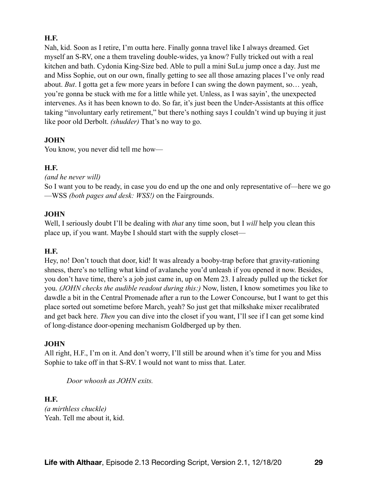# **H.F.**

Nah, kid. Soon as I retire, I'm outta here. Finally gonna travel like I always dreamed. Get myself an S-RV, one a them traveling double-wides, ya know? Fully tricked out with a real kitchen and bath. Cydonia King-Size bed. Able to pull a mini SuLu jump once a day. Just me and Miss Sophie, out on our own, finally getting to see all those amazing places I've only read about. *But*. I gotta get a few more years in before I can swing the down payment, so… yeah, you're gonna be stuck with me for a little while yet. Unless, as I was sayin', the unexpected intervenes. As it has been known to do. So far, it's just been the Under-Assistants at this office taking "involuntary early retirement," but there's nothing says I couldn't wind up buying it just like poor old Derbolt. *(shudder)* That's no way to go.

# **JOHN**

You know, you never did tell me how—

# **H.F.**

*(and he never will)* 

So I want you to be ready, in case you do end up the one and only representative of—here we go —WSS *(both pages and desk: WSS!)* on the Fairgrounds.

# **JOHN**

Well, I seriously doubt I'll be dealing with *that* any time soon, but I *will* help you clean this place up, if you want. Maybe I should start with the supply closet—

### **H.F.**

Hey, no! Don't touch that door, kid! It was already a booby-trap before that gravity-rationing shness, there's no telling what kind of avalanche you'd unleash if you opened it now. Besides, you don't have time, there's a job just came in, up on Mem 23. I already pulled up the ticket for you. *(JOHN checks the audible readout during this:)* Now, listen, I know sometimes you like to dawdle a bit in the Central Promenade after a run to the Lower Concourse, but I want to get this place sorted out sometime before March, yeah? So just get that milkshake mixer recalibrated and get back here. *Then* you can dive into the closet if you want, I'll see if I can get some kind of long-distance door-opening mechanism Goldberged up by then.

# **JOHN**

All right, H.F., I'm on it. And don't worry, I'll still be around when it's time for you and Miss Sophie to take off in that S-RV. I would not want to miss that. Later.

*Door whoosh as JOHN exits.* 

# **H.F.**

*(a mirthless chuckle)*  Yeah. Tell me about it, kid.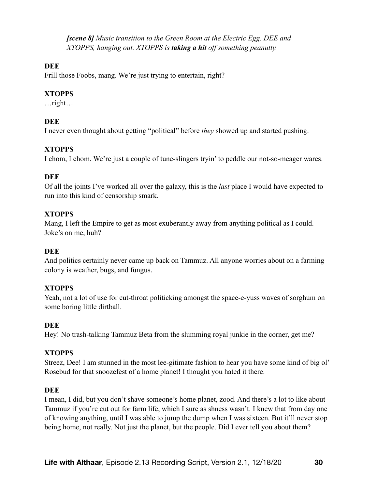*[scene 8] Music transition to the Green Room at the Electric Egg. DEE and XTOPPS, hanging out. XTOPPS is taking a hit off something peanutty.* 

# **DEE**

Frill those Foobs, mang. We're just trying to entertain, right?

# **XTOPPS**

…right…

# **DEE**

I never even thought about getting "political" before *they* showed up and started pushing.

# **XTOPPS**

I chom, I chom. We're just a couple of tune-slingers tryin' to peddle our not-so-meager wares.

### **DEE**

Of all the joints I've worked all over the galaxy, this is the *last* place I would have expected to run into this kind of censorship smark.

# **XTOPPS**

Mang, I left the Empire to get as most exuberantly away from anything political as I could. Joke's on me, huh?

### **DEE**

And politics certainly never came up back on Tammuz. All anyone worries about on a farming colony is weather, bugs, and fungus.

### **XTOPPS**

Yeah, not a lot of use for cut-throat politicking amongst the space-e-yuss waves of sorghum on some boring little dirtball.

# **DEE**

Hey! No trash-talking Tammuz Beta from the slumming royal junkie in the corner, get me?

### **XTOPPS**

Streez, Dee! I am stunned in the most lee-gitimate fashion to hear you have some kind of big ol' Rosebud for that snoozefest of a home planet! I thought you hated it there.

### **DEE**

I mean, I did, but you don't shave someone's home planet, zood. And there's a lot to like about Tammuz if you're cut out for farm life, which I sure as shness wasn't. I knew that from day one of knowing anything, until I was able to jump the dump when I was sixteen. But it'll never stop being home, not really. Not just the planet, but the people. Did I ever tell you about them?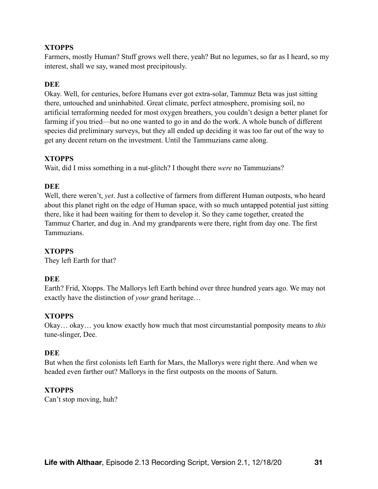# **XTOPPS**

Farmers, mostly Human? Stuff grows well there, yeah? But no legumes, so far as I heard, so my interest, shall we say, waned most precipitously.

### **DEE**

Okay. Well, for centuries, before Humans ever got extra-solar, Tammuz Beta was just sitting there, untouched and uninhabited. Great climate, perfect atmosphere, promising soil, no artificial terraforming needed for most oxygen breathers, you couldn't design a better planet for farming if you tried—but no one wanted to go in and do the work. A whole bunch of different species did preliminary surveys, but they all ended up deciding it was too far out of the way to get any decent return on the investment. Until the Tammuzians came along.

### **XTOPPS**

Wait, did I miss something in a nut-glitch? I thought there *were* no Tammuzians?

# **DEE**

Well, there weren't, *yet*. Just a collective of farmers from different Human outposts, who heard about this planet right on the edge of Human space, with so much untapped potential just sitting there, like it had been waiting for them to develop it. So they came together, created the Tammuz Charter, and dug in. And my grandparents were there, right from day one. The first **Tammuzians** 

### **XTOPPS**

They left Earth for that?

### **DEE**

Earth? Frid, Xtopps. The Mallorys left Earth behind over three hundred years ago. We may not exactly have the distinction of *your* grand heritage…

### **XTOPPS**

Okay… okay… you know exactly how much that most circumstantial pomposity means to *this* tune-slinger, Dee.

### **DEE**

But when the first colonists left Earth for Mars, the Mallorys were right there. And when we headed even farther out? Mallorys in the first outposts on the moons of Saturn.

### **XTOPPS**

Can't stop moving, huh?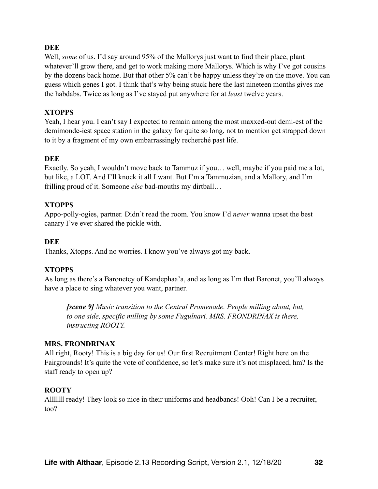### **DEE**

Well, *some* of us. I'd say around 95% of the Mallorys just want to find their place, plant whatever'll grow there, and get to work making more Mallorys. Which is why I've got cousins by the dozens back home. But that other 5% can't be happy unless they're on the move. You can guess which genes I got. I think that's why being stuck here the last nineteen months gives me the habdabs. Twice as long as I've stayed put anywhere for at *least* twelve years.

# **XTOPPS**

Yeah, I hear you. I can't say I expected to remain among the most maxxed-out demi-est of the demimonde-iest space station in the galaxy for quite so long, not to mention get strapped down to it by a fragment of my own embarrassingly recherché past life.

### **DEE**

Exactly. So yeah, I wouldn't move back to Tammuz if you… well, maybe if you paid me a lot, but like, a LOT. And I'll knock it all I want. But I'm a Tammuzian, and a Mallory, and I'm frilling proud of it. Someone *else* bad-mouths my dirtball…

# **XTOPPS**

Appo-polly-ogies, partner. Didn't read the room. You know I'd *never* wanna upset the best canary I've ever shared the pickle with.

### **DEE**

Thanks, Xtopps. And no worries. I know you've always got my back.

### **XTOPPS**

As long as there's a Baronetcy of Kandephaa'a, and as long as I'm that Baronet, you'll always have a place to sing whatever you want, partner.

*[scene 9] Music transition to the Central Promenade. People milling about, but, to one side, specific milling by some Fugulnari. MRS. FRONDRINAX is there, instructing ROOTY.* 

### **MRS. FRONDRINAX**

All right, Rooty! This is a big day for us! Our first Recruitment Center! Right here on the Fairgrounds! It's quite the vote of confidence, so let's make sure it's not misplaced, hm? Is the staff ready to open up?

### **ROOTY**

Alllllll ready! They look so nice in their uniforms and headbands! Ooh! Can I be a recruiter, too?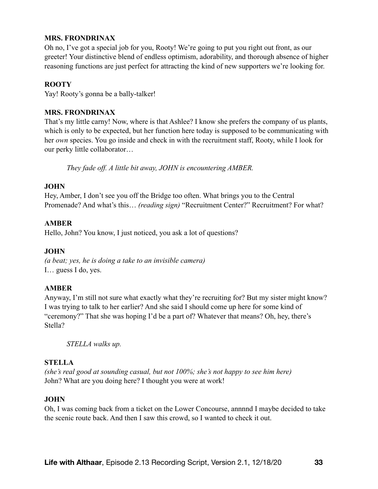# **MRS. FRONDRINAX**

Oh no, I've got a special job for you, Rooty! We're going to put you right out front, as our greeter! Your distinctive blend of endless optimism, adorability, and thorough absence of higher reasoning functions are just perfect for attracting the kind of new supporters we're looking for.

# **ROOTY**

Yay! Rooty's gonna be a bally-talker!

# **MRS. FRONDRINAX**

That's my little carny! Now, where is that Ashlee? I know she prefers the company of us plants, which is only to be expected, but her function here today is supposed to be communicating with her *own* species. You go inside and check in with the recruitment staff, Rooty, while I look for our perky little collaborator…

*They fade off. A little bit away, JOHN is encountering AMBER.* 

# **JOHN**

Hey, Amber, I don't see you off the Bridge too often. What brings you to the Central Promenade? And what's this… *(reading sign)* "Recruitment Center?" Recruitment? For what?

# **AMBER**

Hello, John? You know, I just noticed, you ask a lot of questions?

# **JOHN**

*(a beat; yes, he is doing a take to an invisible camera)*  I… guess I do, yes.

### **AMBER**

Anyway, I'm still not sure what exactly what they're recruiting for? But my sister might know? I was trying to talk to her earlier? And she said I should come up here for some kind of "ceremony?" That she was hoping I'd be a part of? Whatever that means? Oh, hey, there's Stella?

*STELLA walks up.* 

### **STELLA**

*(she's real good at sounding casual, but not 100%; she's not happy to see him here)*  John? What are you doing here? I thought you were at work!

### **JOHN**

Oh, I was coming back from a ticket on the Lower Concourse, annnnd I maybe decided to take the scenic route back. And then I saw this crowd, so I wanted to check it out.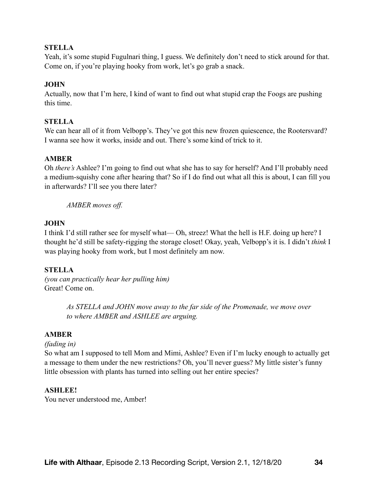### **STELLA**

Yeah, it's some stupid Fugulnari thing, I guess. We definitely don't need to stick around for that. Come on, if you're playing hooky from work, let's go grab a snack.

# **JOHN**

Actually, now that I'm here, I kind of want to find out what stupid crap the Foogs are pushing this time.

# **STELLA**

We can hear all of it from Velbopp's. They've got this new frozen quiescence, the Rootersvard? I wanna see how it works, inside and out. There's some kind of trick to it.

# **AMBER**

Oh *there's* Ashlee? I'm going to find out what she has to say for herself? And I'll probably need a medium-squishy cone after hearing that? So if I do find out what all this is about, I can fill you in afterwards? I'll see you there later?

*AMBER moves off.* 

# **JOHN**

I think I'd still rather see for myself what— Oh, streez! What the hell is H.F. doing up here? I thought he'd still be safety-rigging the storage closet! Okay, yeah, Velbopp's it is. I didn't *think* I was playing hooky from work, but I most definitely am now.

# **STELLA**

*(you can practically hear her pulling him)*  Great! Come on.

> *As STELLA and JOHN move away to the far side of the Promenade, we move over to where AMBER and ASHLEE are arguing.*

### **AMBER**

*(fading in)* 

So what am I supposed to tell Mom and Mimi, Ashlee? Even if I'm lucky enough to actually get a message to them under the new restrictions? Oh, you'll never guess? My little sister's funny little obsession with plants has turned into selling out her entire species?

### **ASHLEE!**

You never understood me, Amber!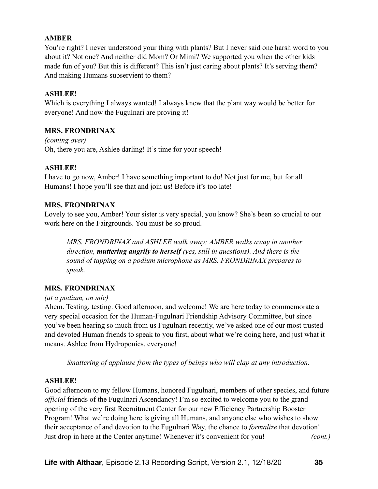# **AMBER**

You're right? I never understood your thing with plants? But I never said one harsh word to you about it? Not one? And neither did Mom? Or Mimi? We supported you when the other kids made fun of you? But this is different? This isn't just caring about plants? It's serving them? And making Humans subservient to them?

### **ASHLEE!**

Which is everything I always wanted! I always knew that the plant way would be better for everyone! And now the Fugulnari are proving it!

# **MRS. FRONDRINAX**

*(coming over)*  Oh, there you are, Ashlee darling! It's time for your speech!

# **ASHLEE!**

I have to go now, Amber! I have something important to do! Not just for me, but for all Humans! I hope you'll see that and join us! Before it's too late!

### **MRS. FRONDRINAX**

Lovely to see you, Amber! Your sister is very special, you know? She's been so crucial to our work here on the Fairgrounds. You must be so proud.

*MRS. FRONDRINAX and ASHLEE walk away; AMBER walks away in another direction, muttering angrily to herself (yes, still in questions). And there is the sound of tapping on a podium microphone as MRS. FRONDRINAX prepares to speak.* 

# **MRS. FRONDRINAX**

### *(at a podium, on mic)*

Ahem. Testing, testing. Good afternoon, and welcome! We are here today to commemorate a very special occasion for the Human-Fugulnari Friendship Advisory Committee, but since you've been hearing so much from us Fugulnari recently, we've asked one of our most trusted and devoted Human friends to speak to you first, about what we're doing here, and just what it means. Ashlee from Hydroponics, everyone!

*Smattering of applause from the types of beings who will clap at any introduction.* 

### **ASHLEE!**

Good afternoon to my fellow Humans, honored Fugulnari, members of other species, and future *official* friends of the Fugulnari Ascendancy! I'm so excited to welcome you to the grand opening of the very first Recruitment Center for our new Efficiency Partnership Booster Program! What we're doing here is giving all Humans, and anyone else who wishes to show their acceptance of and devotion to the Fugulnari Way, the chance to *formalize* that devotion! Just drop in here at the Center anytime! Whenever it's convenient for you! *(cont.)*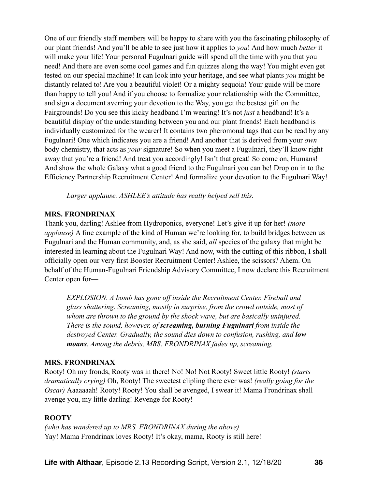One of our friendly staff members will be happy to share with you the fascinating philosophy of our plant friends! And you'll be able to see just how it applies to *you*! And how much *better* it will make your life! Your personal Fugulnari guide will spend all the time with you that you need! And there are even some cool games and fun quizzes along the way! You might even get tested on our special machine! It can look into your heritage, and see what plants *you* might be distantly related to! Are you a beautiful violet! Or a mighty sequoia! Your guide will be more than happy to tell you! And if you choose to formalize your relationship with the Committee, and sign a document averring your devotion to the Way, you get the bestest gift on the Fairgrounds! Do you see this kicky headband I'm wearing! It's not *just* a headband! It's a beautiful display of the understanding between you and our plant friends! Each headband is individually customized for the wearer! It contains two pheromonal tags that can be read by any Fugulnari! One which indicates you are a friend! And another that is derived from your *own* body chemistry, that acts as *your* signature! So when you meet a Fugulnari, they'll know right away that you're a friend! And treat you accordingly! Isn't that great! So come on, Humans! And show the whole Galaxy what a good friend to the Fugulnari you can be! Drop on in to the Efficiency Partnership Recruitment Center! And formalize your devotion to the Fugulnari Way!

*Larger applause. ASHLEE's attitude has really helped sell this.* 

### **MRS. FRONDRINAX**

Thank you, darling! Ashlee from Hydroponics, everyone! Let's give it up for her! *(more applause)* A fine example of the kind of Human we're looking for, to build bridges between us Fugulnari and the Human community, and, as she said, *all* species of the galaxy that might be interested in learning about the Fugulnari Way! And now, with the cutting of this ribbon, I shall officially open our very first Booster Recruitment Center! Ashlee, the scissors? Ahem. On behalf of the Human-Fugulnari Friendship Advisory Committee, I now declare this Recruitment Center open for—

*EXPLOSION. A bomb has gone off inside the Recruitment Center. Fireball and glass shattering. Screaming, mostly in surprise, from the crowd outside, most of whom are thrown to the ground by the shock wave, but are basically uninjured. There is the sound, however, of screaming, burning Fugulnari from inside the destroyed Center. Gradually, the sound dies down to confusion, rushing, and low moans. Among the debris, MRS. FRONDRINAX fades up, screaming.* 

#### **MRS. FRONDRINAX**

Rooty! Oh my fronds, Rooty was in there! No! No! Not Rooty! Sweet little Rooty! *(starts dramatically crying)* Oh, Rooty! The sweetest clipling there ever was! *(really going for the Oscar)* Aaaaaaah! Rooty! Rooty! You shall be avenged, I swear it! Mama Frondrinax shall avenge you, my little darling! Revenge for Rooty!

#### **ROOTY**

*(who has wandered up to MRS. FRONDRINAX during the above)*  Yay! Mama Frondrinax loves Rooty! It's okay, mama, Rooty is still here!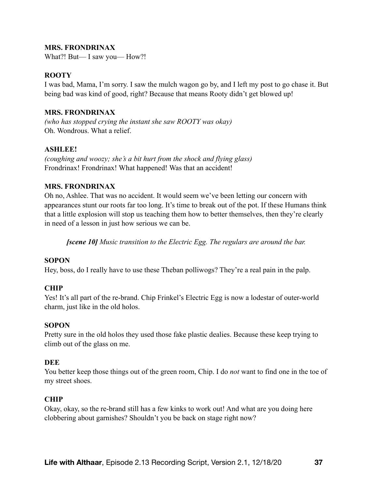#### **MRS. FRONDRINAX**

What?! But— I saw you— How?!

#### **ROOTY**

I was bad, Mama, I'm sorry. I saw the mulch wagon go by, and I left my post to go chase it. But being bad was kind of good, right? Because that means Rooty didn't get blowed up!

#### **MRS. FRONDRINAX**

*(who has stopped crying the instant she saw ROOTY was okay)*  Oh. Wondrous. What a relief.

#### **ASHLEE!**

*(coughing and woozy; she's a bit hurt from the shock and flying glass)*  Frondrinax! Frondrinax! What happened! Was that an accident!

#### **MRS. FRONDRINAX**

Oh no, Ashlee. That was no accident. It would seem we've been letting our concern with appearances stunt our roots far too long. It's time to break out of the pot. If these Humans think that a little explosion will stop us teaching them how to better themselves, then they're clearly in need of a lesson in just how serious we can be.

*[scene 10] Music transition to the Electric Egg. The regulars are around the bar.* 

#### **SOPON**

Hey, boss, do I really have to use these Theban polliwogs? They're a real pain in the palp.

#### **CHIP**

Yes! It's all part of the re-brand. Chip Frinkel's Electric Egg is now a lodestar of outer-world charm, just like in the old holos.

#### **SOPON**

Pretty sure in the old holos they used those fake plastic dealies. Because these keep trying to climb out of the glass on me.

#### **DEE**

You better keep those things out of the green room, Chip. I do *not* want to find one in the toe of my street shoes.

#### **CHIP**

Okay, okay, so the re-brand still has a few kinks to work out! And what are you doing here clobbering about garnishes? Shouldn't you be back on stage right now?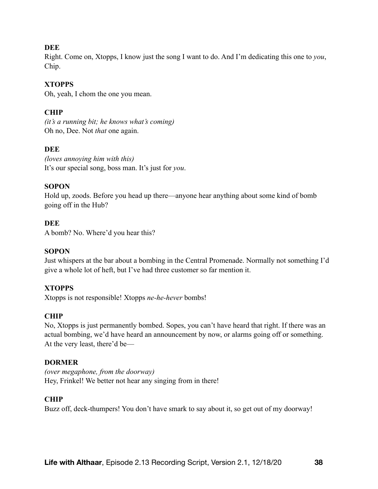Right. Come on, Xtopps, I know just the song I want to do. And I'm dedicating this one to *you*, Chip.

# **XTOPPS**

Oh, yeah, I chom the one you mean.

# **CHIP**

*(it's a running bit; he knows what's coming)*  Oh no, Dee. Not *that* one again.

# **DEE**

*(loves annoying him with this)*  It's our special song, boss man. It's just for *you*.

## **SOPON**

Hold up, zoods. Before you head up there—anyone hear anything about some kind of bomb going off in the Hub?

# **DEE**

A bomb? No. Where'd you hear this?

## **SOPON**

Just whispers at the bar about a bombing in the Central Promenade. Normally not something I'd give a whole lot of heft, but I've had three customer so far mention it.

# **XTOPPS**

Xtopps is not responsible! Xtopps *ne-he-hever* bombs!

# **CHIP**

No, Xtopps is just permanently bombed. Sopes, you can't have heard that right. If there was an actual bombing, we'd have heard an announcement by now, or alarms going off or something. At the very least, there'd be—

## **DORMER**

*(over megaphone, from the doorway)*  Hey, Frinkel! We better not hear any singing from in there!

## **CHIP**

Buzz off, deck-thumpers! You don't have smark to say about it, so get out of my doorway!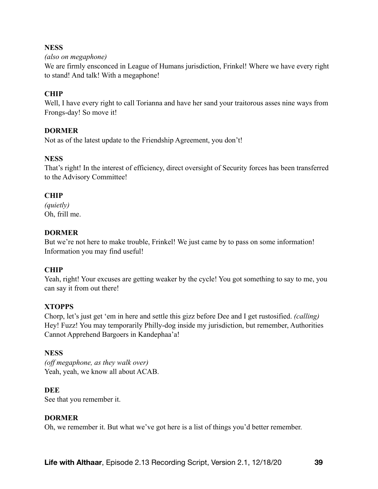## **NESS**

#### *(also on megaphone)*

We are firmly ensconced in League of Humans jurisdiction, Frinkel! Where we have every right to stand! And talk! With a megaphone!

## **CHIP**

Well, I have every right to call Torianna and have her sand your traitorous asses nine ways from Frongs-day! So move it!

## **DORMER**

Not as of the latest update to the Friendship Agreement, you don't!

## **NESS**

That's right! In the interest of efficiency, direct oversight of Security forces has been transferred to the Advisory Committee!

## **CHIP**

*(quietly)* Oh, frill me.

## **DORMER**

But we're not here to make trouble, Frinkel! We just came by to pass on some information! Information you may find useful!

## **CHIP**

Yeah, right! Your excuses are getting weaker by the cycle! You got something to say to me, you can say it from out there!

## **XTOPPS**

Chorp, let's just get 'em in here and settle this gizz before Dee and I get rustosified. *(calling)* Hey! Fuzz! You may temporarily Philly-dog inside my jurisdiction, but remember, Authorities Cannot Apprehend Bargoers in Kandephaa'a!

## **NESS**

*(off megaphone, as they walk over)*  Yeah, yeah, we know all about ACAB.

#### **DEE**

See that you remember it.

#### **DORMER**

Oh, we remember it. But what we've got here is a list of things you'd better remember.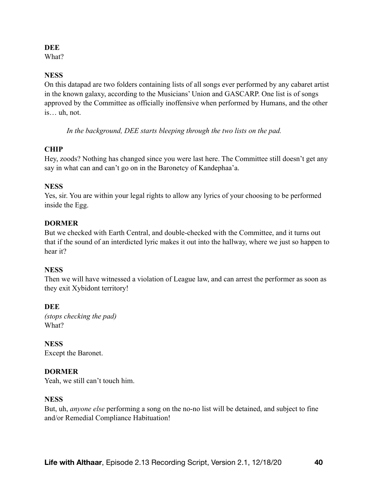What?

## **NESS**

On this datapad are two folders containing lists of all songs ever performed by any cabaret artist in the known galaxy, according to the Musicians' Union and GASCARP. One list is of songs approved by the Committee as officially inoffensive when performed by Humans, and the other is… uh, not.

*In the background, DEE starts bleeping through the two lists on the pad.* 

# **CHIP**

Hey, zoods? Nothing has changed since you were last here. The Committee still doesn't get any say in what can and can't go on in the Baronetcy of Kandephaa'a.

## **NESS**

Yes, sir. You are within your legal rights to allow any lyrics of your choosing to be performed inside the Egg.

## **DORMER**

But we checked with Earth Central, and double-checked with the Committee, and it turns out that if the sound of an interdicted lyric makes it out into the hallway, where we just so happen to hear it?

## **NESS**

Then we will have witnessed a violation of League law, and can arrest the performer as soon as they exit Xybidont territory!

**DEE**  *(stops checking the pad)*  What?

**NESS**  Except the Baronet.

# **DORMER**

Yeah, we still can't touch him.

# **NESS**

But, uh, *anyone else* performing a song on the no-no list will be detained, and subject to fine and/or Remedial Compliance Habituation!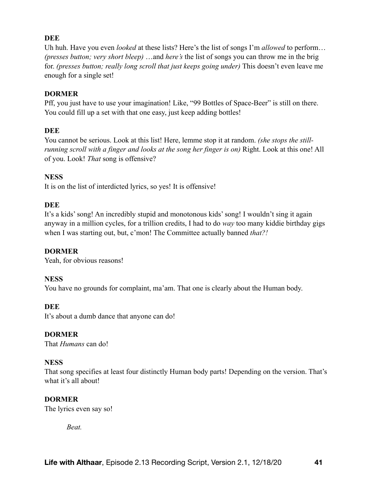Uh huh. Have you even *looked* at these lists? Here's the list of songs I'm *allowed* to perform… *(presses button; very short bleep)* …and *here's* the list of songs you can throw me in the brig for. *(presses button; really long scroll that just keeps going under)* This doesn't even leave me enough for a single set!

## **DORMER**

Pff, you just have to use your imagination! Like, "99 Bottles of Space-Beer" is still on there. You could fill up a set with that one easy, just keep adding bottles!

## **DEE**

You cannot be serious. Look at this list! Here, lemme stop it at random. *(she stops the stillrunning scroll with a finger and looks at the song her finger is on)* Right. Look at this one! All of you. Look! *That* song is offensive?

## **NESS**

It is on the list of interdicted lyrics, so yes! It is offensive!

## **DEE**

It's a kids' song! An incredibly stupid and monotonous kids' song! I wouldn't sing it again anyway in a million cycles, for a trillion credits, I had to do *way* too many kiddie birthday gigs when I was starting out, but, c'mon! The Committee actually banned *that*?!

## **DORMER**

Yeah, for obvious reasons!

## **NESS**

You have no grounds for complaint, ma'am. That one is clearly about the Human body.

## **DEE**

It's about a dumb dance that anyone can do!

## **DORMER**

That *Humans* can do!

## **NESS**

That song specifies at least four distinctly Human body parts! Depending on the version. That's what it's all about!

## **DORMER**

The lyrics even say so!

*Beat.*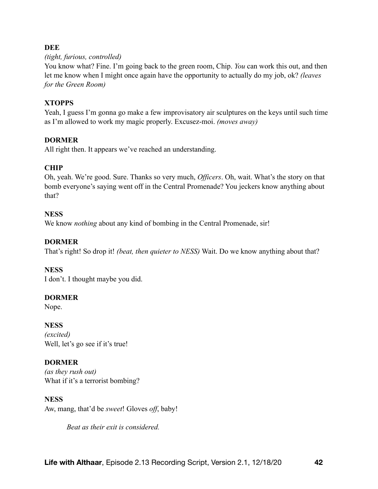## *(tight, furious, controlled)*

You know what? Fine. I'm going back to the green room, Chip. *You* can work this out, and then let me know when I might once again have the opportunity to actually do my job, ok? *(leaves for the Green Room)* 

## **XTOPPS**

Yeah, I guess I'm gonna go make a few improvisatory air sculptures on the keys until such time as I'm allowed to work my magic properly. Excusez-moi. *(moves away)* 

## **DORMER**

All right then. It appears we've reached an understanding.

## **CHIP**

Oh, yeah. We're good. Sure. Thanks so very much, *Officers*. Oh, wait. What's the story on that bomb everyone's saying went off in the Central Promenade? You jeckers know anything about that?

## **NESS**

We know *nothing* about any kind of bombing in the Central Promenade, sir!

# **DORMER**

That's right! So drop it! *(beat, then quieter to NESS)* Wait. Do we know anything about that?

## **NESS**

I don't. I thought maybe you did.

# **DORMER**

Nope.

# **NESS**

*(excited)*  Well, let's go see if it's true!

## **DORMER**

*(as they rush out)*  What if it's a terrorist bombing?

## **NESS**

Aw, mang, that'd be *sweet*! Gloves *off*, baby!

*Beat as their exit is considered.*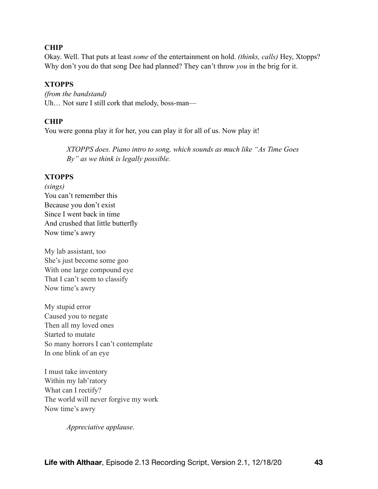Okay. Well. That puts at least *some* of the entertainment on hold. *(thinks, calls)* Hey, Xtopps? Why don't you do that song Dee had planned? They can't throw *you* in the brig for it.

## **XTOPPS**

*(from the bandstand)*  Uh... Not sure I still cork that melody, boss-man—

# **CHIP**

You were gonna play it for her, you can play it for all of us. Now play it!

*XTOPPS does. Piano intro to song, which sounds as much like "As Time Goes By" as we think is legally possible.* 

## **XTOPPS**

*(sings)*  You can't remember this Because you don't exist Since I went back in time And crushed that little butterfly Now time's awry

My lab assistant, too She's just become some goo With one large compound eye That I can't seem to classify Now time's awry

My stupid error Caused you to negate Then all my loved ones Started to mutate So many horrors I can't contemplate In one blink of an eye

I must take inventory Within my lab'ratory What can I rectify? The world will never forgive my work Now time's awry

*Appreciative applause.*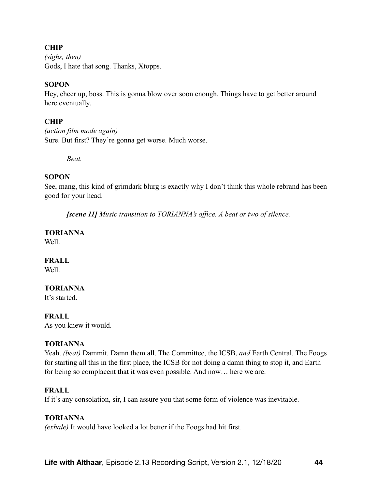*(sighs, then)*  Gods, I hate that song. Thanks, Xtopps.

#### **SOPON**

Hey, cheer up, boss. This is gonna blow over soon enough. Things have to get better around here eventually.

#### **CHIP**

*(action film mode again)*  Sure. But first? They're gonna get worse. Much worse.

*Beat.* 

## **SOPON**

See, mang, this kind of grimdark blurg is exactly why I don't think this whole rebrand has been good for your head.

*[scene 11] Music transition to TORIANNA's office. A beat or two of silence.* 

#### **TORIANNA**

Well.

## **FRALL**

Well.

#### **TORIANNA**

It's started.

## **FRALL**

As you knew it would.

#### **TORIANNA**

Yeah. *(beat)* Dammit. Damn them all. The Committee, the ICSB, *and* Earth Central. The Foogs for starting all this in the first place, the ICSB for not doing a damn thing to stop it, and Earth for being so complacent that it was even possible. And now… here we are.

#### **FRALL**

If it's any consolation, sir, I can assure you that some form of violence was inevitable.

#### **TORIANNA**

*(exhale)* It would have looked a lot better if the Foogs had hit first.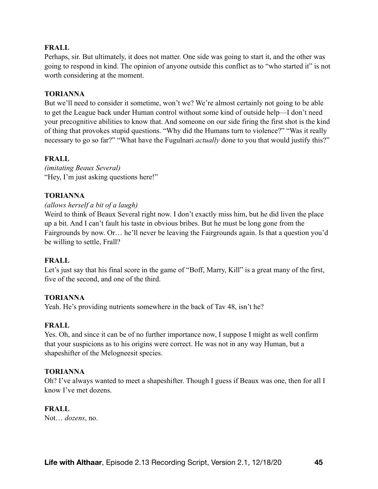## **FRALL**

Perhaps, sir. But ultimately, it does not matter. One side was going to start it, and the other was going to respond in kind. The opinion of anyone outside this conflict as to "who started it" is not worth considering at the moment.

#### **TORIANNA**

But we'll need to consider it sometime, won't we? We're almost certainly not going to be able to get the League back under Human control without some kind of outside help—I don't need your precognitive abilities to know that. And someone on our side firing the first shot is the kind of thing that provokes stupid questions. "Why did the Humans turn to violence?" "Was it really necessary to go so far?" "What have the Fugulnari *actually* done to you that would justify this?"

## **FRALL**

*(imitating Beaux Several)*  "Hey, I'm just asking questions here!"

#### **TORIANNA**

#### *(allows herself a bit of a laugh)*

Weird to think of Beaux Several right now. I don't exactly miss him, but he did liven the place up a bit. And I can't fault his taste in obvious bribes. But he must be long gone from the Fairgrounds by now. Or… he'll never be leaving the Fairgrounds again. Is that a question you'd be willing to settle, Frall?

#### **FRALL**

Let's just say that his final score in the game of "Boff, Marry, Kill" is a great many of the first, five of the second, and one of the third.

#### **TORIANNA**

Yeah. He's providing nutrients somewhere in the back of Tav 48, isn't he?

## **FRALL**

Yes. Oh, and since it can be of no further importance now, I suppose I might as well confirm that your suspicions as to his origins were correct. He was not in any way Human, but a shapeshifter of the Melogneesit species.

#### **TORIANNA**

Oh? I've always wanted to meet a shapeshifter. Though I guess if Beaux was one, then for all I know I've met dozens.

#### **FRALL**

Not… *dozens*, no.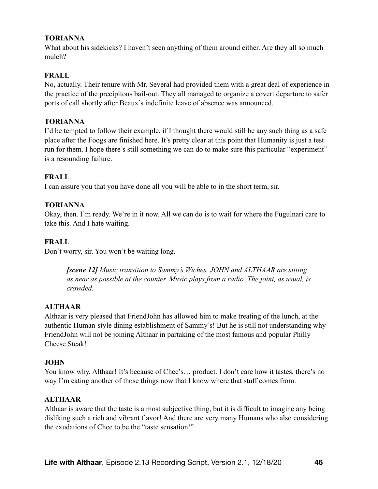## **TORIANNA**

What about his sidekicks? I haven't seen anything of them around either. Are they all so much mulch?

## **FRALL**

No, actually. Their tenure with Mr. Several had provided them with a great deal of experience in the practice of the precipitous bail-out. They all managed to organize a covert departure to safer ports of call shortly after Beaux's indefinite leave of absence was announced.

## **TORIANNA**

I'd be tempted to follow their example, if I thought there would still be any such thing as a safe place after the Foogs are finished here. It's pretty clear at this point that Humanity is just a test run for them. I hope there's still something we can do to make sure this particular "experiment" is a resounding failure.

## **FRALL**

I can assure you that you have done all you will be able to in the short term, sir.

## **TORIANNA**

Okay, then. I'm ready. We're in it now. All we can do is to wait for where the Fugulnari care to take this. And I hate waiting.

## **FRALL**

Don't worry, sir. You won't be waiting long.

*[scene 12] Music transition to Sammy's Wiches. JOHN and ALTHAAR are sitting as near as possible at the counter. Music plays from a radio. The joint, as usual, is crowded.* 

## **ALTHAAR**

Althaar is very pleased that FriendJohn has allowed him to make treating of the lunch, at the authentic Human-style dining establishment of Sammy's! But he is still not understanding why FriendJohn will not be joining Althaar in partaking of the most famous and popular Philly Cheese Steak!

## **JOHN**

You know why, Althaar! It's because of Chee's… product. I don't care how it tastes, there's no way I'm eating another of those things now that I know where that stuff comes from.

## **ALTHAAR**

Althaar is aware that the taste is a most subjective thing, but it is difficult to imagine any being disliking such a rich and vibrant flavor! And there are very many Humans who also considering the exudations of Chee to be the "taste sensation!"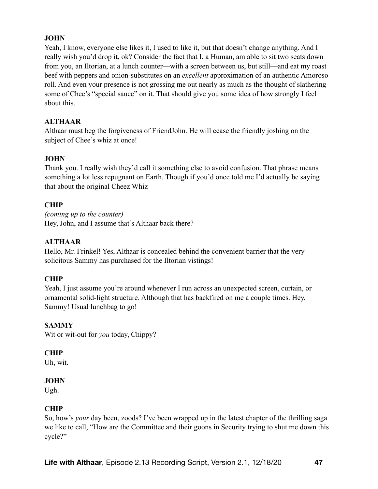# **JOHN**

Yeah, I know, everyone else likes it, I used to like it, but that doesn't change anything. And I really wish you'd drop it, ok? Consider the fact that I, a Human, am able to sit two seats down from you, an Iltorian, at a lunch counter—with a screen between us, but still—and eat my roast beef with peppers and onion-substitutes on an *excellent* approximation of an authentic Amoroso roll. And even your presence is not grossing me out nearly as much as the thought of slathering some of Chee's "special sauce" on it. That should give you some idea of how strongly I feel about this.

# **ALTHAAR**

Althaar must beg the forgiveness of FriendJohn. He will cease the friendly joshing on the subject of Chee's whiz at once!

## **JOHN**

Thank you. I really wish they'd call it something else to avoid confusion. That phrase means something a lot less repugnant on Earth. Though if you'd once told me I'd actually be saying that about the original Cheez Whiz—

## **CHIP**

*(coming up to the counter)*  Hey, John, and I assume that's Althaar back there?

# **ALTHAAR**

Hello, Mr. Frinkel! Yes, Althaar is concealed behind the convenient barrier that the very solicitous Sammy has purchased for the Iltorian vistings!

# **CHIP**

Yeah, I just assume you're around whenever I run across an unexpected screen, curtain, or ornamental solid-light structure. Although that has backfired on me a couple times. Hey, Sammy! Usual lunchbag to go!

## **SAMMY**

Wit or wit-out for *you* today, Chippy?

## **CHIP**

Uh, wit.

## **JOHN**

Ugh.

## **CHIP**

So, how's *your* day been, zoods? I've been wrapped up in the latest chapter of the thrilling saga we like to call, "How are the Committee and their goons in Security trying to shut me down this cycle?"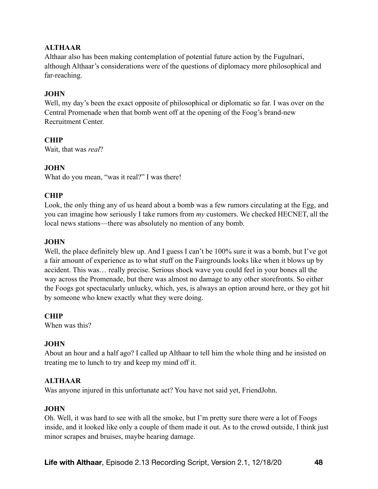Althaar also has been making contemplation of potential future action by the Fugulnari, although Althaar's considerations were of the questions of diplomacy more philosophical and far-reaching.

#### **JOHN**

Well, my day's been the exact opposite of philosophical or diplomatic so far. I was over on the Central Promenade when that bomb went off at the opening of the Foog's brand-new Recruitment Center.

# **CHIP**

Wait, that was *real*?

#### **JOHN**

What do you mean, "was it real?" I was there!

#### **CHIP**

Look, the only thing any of us heard about a bomb was a few rumors circulating at the Egg, and you can imagine how seriously I take rumors from *my* customers. We checked HECNET, all the local news stations—there was absolutely no mention of any bomb.

#### **JOHN**

Well, the place definitely blew up. And I guess I can't be 100% sure it was a bomb, but I've got a fair amount of experience as to what stuff on the Fairgrounds looks like when it blows up by accident. This was… really precise. Serious shock wave you could feel in your bones all the way across the Promenade, but there was almost no damage to any other storefronts. So either the Foogs got spectacularly unlucky, which, yes, is always an option around here, or they got hit by someone who knew exactly what they were doing.

#### **CHIP**

When was this?

#### **JOHN**

About an hour and a half ago? I called up Althaar to tell him the whole thing and he insisted on treating me to lunch to try and keep my mind off it.

#### **ALTHAAR**

Was anyone injured in this unfortunate act? You have not said yet, FriendJohn.

#### **JOHN**

Oh. Well, it was hard to see with all the smoke, but I'm pretty sure there were a lot of Foogs inside, and it looked like only a couple of them made it out. As to the crowd outside, I think just minor scrapes and bruises, maybe hearing damage.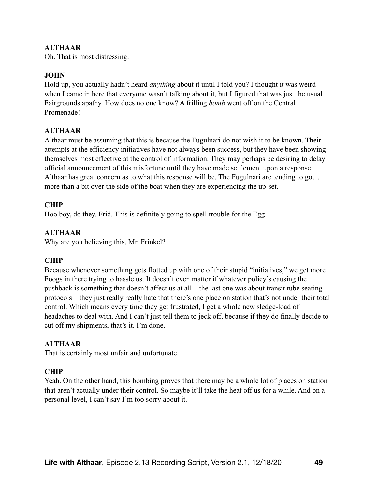Oh. That is most distressing.

## **JOHN**

Hold up, you actually hadn't heard *anything* about it until I told you? I thought it was weird when I came in here that everyone wasn't talking about it, but I figured that was just the usual Fairgrounds apathy. How does no one know? A frilling *bomb* went off on the Central Promenade!

## **ALTHAAR**

Althaar must be assuming that this is because the Fugulnari do not wish it to be known. Their attempts at the efficiency initiatives have not always been success, but they have been showing themselves most effective at the control of information. They may perhaps be desiring to delay official announcement of this misfortune until they have made settlement upon a response. Althaar has great concern as to what this response will be. The Fugulnari are tending to go… more than a bit over the side of the boat when they are experiencing the up-set.

## **CHIP**

Hoo boy, do they. Frid. This is definitely going to spell trouble for the Egg.

# **ALTHAAR**

Why are you believing this, Mr. Frinkel?

# **CHIP**

Because whenever something gets flotted up with one of their stupid "initiatives," we get more Foogs in there trying to hassle us. It doesn't even matter if whatever policy's causing the pushback is something that doesn't affect us at all—the last one was about transit tube seating protocols—they just really really hate that there's one place on station that's not under their total control. Which means every time they get frustrated, I get a whole new sledge-load of headaches to deal with. And I can't just tell them to jeck off, because if they do finally decide to cut off my shipments, that's it. I'm done.

## **ALTHAAR**

That is certainly most unfair and unfortunate.

# **CHIP**

Yeah. On the other hand, this bombing proves that there may be a whole lot of places on station that aren't actually under their control. So maybe it'll take the heat off us for a while. And on a personal level, I can't say I'm too sorry about it.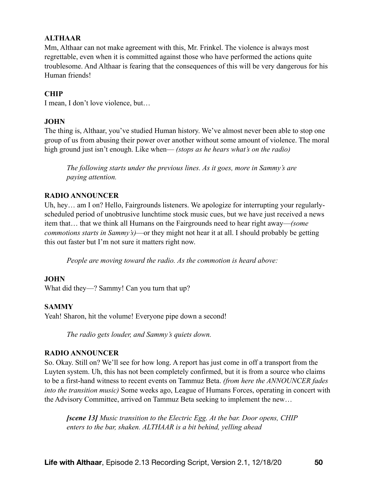Mm, Althaar can not make agreement with this, Mr. Frinkel. The violence is always most regrettable, even when it is committed against those who have performed the actions quite troublesome. And Althaar is fearing that the consequences of this will be very dangerous for his Human friends!

#### **CHIP**

I mean, I don't love violence, but…

#### **JOHN**

The thing is, Althaar, you've studied Human history. We've almost never been able to stop one group of us from abusing their power over another without some amount of violence. The moral high ground just isn't enough. Like when— *(stops as he hears what's on the radio)*

*The following starts under the previous lines. As it goes, more in Sammy's are paying attention.* 

#### **RADIO ANNOUNCER**

Uh, hey… am I on? Hello, Fairgrounds listeners. We apologize for interrupting your regularlyscheduled period of unobtrusive lunchtime stock music cues, but we have just received a news item that… that we think all Humans on the Fairgrounds need to hear right away—*(some commotions starts in Sammy's)*—or they might not hear it at all. I should probably be getting this out faster but I'm not sure it matters right now.

*People are moving toward the radio. As the commotion is heard above:* 

#### **JOHN**

What did they—? Sammy! Can you turn that up?

#### **SAMMY**

Yeah! Sharon, hit the volume! Everyone pipe down a second!

*The radio gets louder, and Sammy's quiets down.* 

#### **RADIO ANNOUNCER**

So. Okay. Still on? We'll see for how long. A report has just come in off a transport from the Luyten system. Uh, this has not been completely confirmed, but it is from a source who claims to be a first-hand witness to recent events on Tammuz Beta. *(from here the ANNOUNCER fades into the transition music)* Some weeks ago, League of Humans Forces, operating in concert with the Advisory Committee, arrived on Tammuz Beta seeking to implement the new…

*[scene 13] Music transition to the Electric Egg. At the bar. Door opens, CHIP enters to the bar, shaken. ALTHAAR is a bit behind, yelling ahead*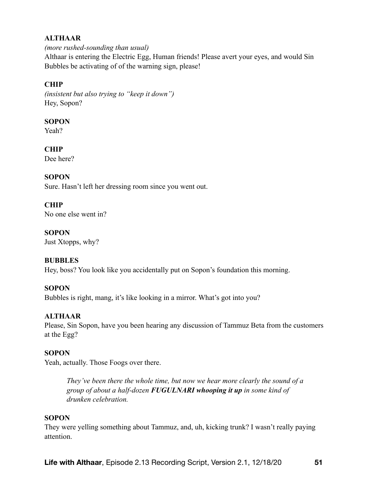#### *(more rushed-sounding than usual)*

Althaar is entering the Electric Egg, Human friends! Please avert your eyes, and would Sin Bubbles be activating of of the warning sign, please!

# **CHIP**

*(insistent but also trying to "keep it down")*  Hey, Sopon?

## **SOPON**

Yeah?

**CHIP** 

Dee here?

## **SOPON**

Sure. Hasn't left her dressing room since you went out.

## **CHIP**

No one else went in?

## **SOPON**

Just Xtopps, why?

## **BUBBLES**

Hey, boss? You look like you accidentally put on Sopon's foundation this morning.

## **SOPON**

Bubbles is right, mang, it's like looking in a mirror. What's got into you?

## **ALTHAAR**

Please, Sin Sopon, have you been hearing any discussion of Tammuz Beta from the customers at the Egg?

## **SOPON**

Yeah, actually. Those Foogs over there.

*They've been there the whole time, but now we hear more clearly the sound of a group of about a half-dozen FUGULNARI whooping it up in some kind of drunken celebration.* 

## **SOPON**

They were yelling something about Tammuz, and, uh, kicking trunk? I wasn't really paying attention.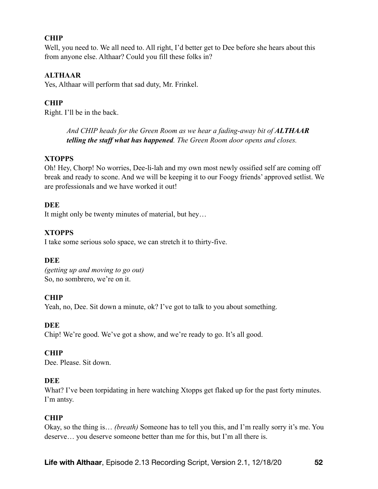Well, you need to. We all need to. All right, I'd better get to Dee before she hears about this from anyone else. Althaar? Could you fill these folks in?

## **ALTHAAR**

Yes, Althaar will perform that sad duty, Mr. Frinkel.

## **CHIP**

Right. I'll be in the back.

And CHIP heads for the Green Room as we hear a fading-away bit of **ALTHAAR** *telling the staff what has happened. The Green Room door opens and closes.* 

## **XTOPPS**

Oh! Hey, Chorp! No worries, Dee-li-lah and my own most newly ossified self are coming off break and ready to scone. And we will be keeping it to our Foogy friends' approved setlist. We are professionals and we have worked it out!

## **DEE**

It might only be twenty minutes of material, but hey…

# **XTOPPS**

I take some serious solo space, we can stretch it to thirty-five.

## **DEE**

*(getting up and moving to go out)*  So, no sombrero, we're on it.

## **CHIP**

Yeah, no, Dee. Sit down a minute, ok? I've got to talk to you about something.

# **DEE**

Chip! We're good. We've got a show, and we're ready to go. It's all good.

## **CHIP**

Dee. Please. Sit down.

## **DEE**

What? I've been torpidating in here watching Xtopps get flaked up for the past forty minutes. I'm antsy.

## **CHIP**

Okay, so the thing is… *(breath)* Someone has to tell you this, and I'm really sorry it's me. You deserve… you deserve someone better than me for this, but I'm all there is.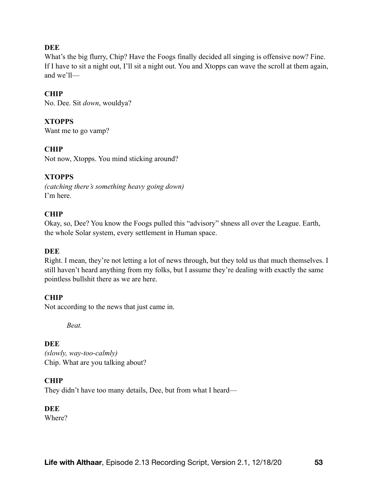What's the big flurry, Chip? Have the Foogs finally decided all singing is offensive now? Fine. If I have to sit a night out, I'll sit a night out. You and Xtopps can wave the scroll at them again, and we'll—

## **CHIP**

No. Dee. Sit *down*, wouldya?

## **XTOPPS**

Want me to go vamp?

## **CHIP**

Not now, Xtopps. You mind sticking around?

## **XTOPPS**

*(catching there's something heavy going down)*  I'm here.

## **CHIP**

Okay, so, Dee? You know the Foogs pulled this "advisory" shness all over the League. Earth, the whole Solar system, every settlement in Human space.

#### **DEE**

Right. I mean, they're not letting a lot of news through, but they told us that much themselves. I still haven't heard anything from my folks, but I assume they're dealing with exactly the same pointless bullshit there as we are here.

## **CHIP**

Not according to the news that just came in.

*Beat.* 

## **DEE**

*(slowly, way-too-calmly)*  Chip. What are you talking about?

# **CHIP**

They didn't have too many details, Dee, but from what I heard—

## **DEE**

Where?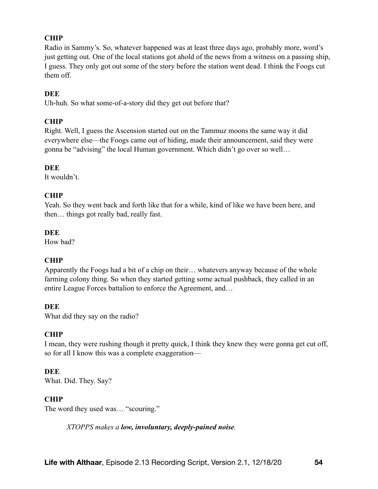Radio in Sammy's. So, whatever happened was at least three days ago, probably more, word's just getting out. One of the local stations got ahold of the news from a witness on a passing ship, I guess. They only got out some of the story before the station went dead. I think the Foogs cut them off.

## **DEE**

Uh-huh. So what some-of-a-story did they get out before that?

# **CHIP**

Right. Well, I guess the Ascension started out on the Tammuz moons the same way it did everywhere else—the Foogs came out of hiding, made their announcement, said they were gonna be "advising" the local Human government. Which didn't go over so well…

## **DEE**

It wouldn't.

## **CHIP**

Yeah. So they went back and forth like that for a while, kind of like we have been here, and then… things got really bad, really fast.

## **DEE**

How bad?

# **CHIP**

Apparently the Foogs had a bit of a chip on their… whatevers anyway because of the whole farming colony thing. So when they started getting some actual pushback, they called in an entire League Forces battalion to enforce the Agreement, and…

## **DEE**

What did they say on the radio?

# **CHIP**

I mean, they were rushing though it pretty quick, I think they knew they were gonna get cut off, so for all I know this was a complete exaggeration—

## **DEE**

What. Did. They. Say?

## **CHIP**

The word they used was… "scouring."

*XTOPPS makes a low, involuntary, deeply-pained noise.*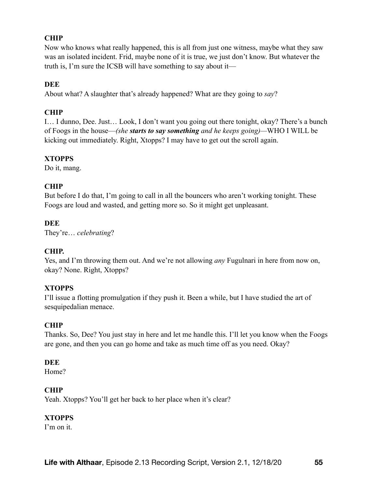Now who knows what really happened, this is all from just one witness, maybe what they saw was an isolated incident. Frid, maybe none of it is true, we just don't know. But whatever the truth is, I'm sure the ICSB will have something to say about it—

## **DEE**

About what? A slaughter that's already happened? What are they going to *say*?

## **CHIP**

I… I dunno, Dee. Just… Look, I don't want you going out there tonight, okay? There's a bunch of Foogs in the house—*(she starts to say something and he keeps going)—*WHO I WILL be kicking out immediately. Right, Xtopps? I may have to get out the scroll again.

## **XTOPPS**

Do it, mang.

## **CHIP**

But before I do that, I'm going to call in all the bouncers who aren't working tonight. These Foogs are loud and wasted, and getting more so. So it might get unpleasant.

## **DEE**

They're… *celebrating*?

## **CHIP.**

Yes, and I'm throwing them out. And we're not allowing *any* Fugulnari in here from now on, okay? None. Right, Xtopps?

#### **XTOPPS**

I'll issue a flotting promulgation if they push it. Been a while, but I have studied the art of sesquipedalian menace.

## **CHIP**

Thanks. So, Dee? You just stay in here and let me handle this. I'll let you know when the Foogs are gone, and then you can go home and take as much time off as you need. Okay?

#### **DEE**

Home?

## **CHIP**

Yeah. Xtopps? You'll get her back to her place when it's clear?

## **XTOPPS**

I'm on it.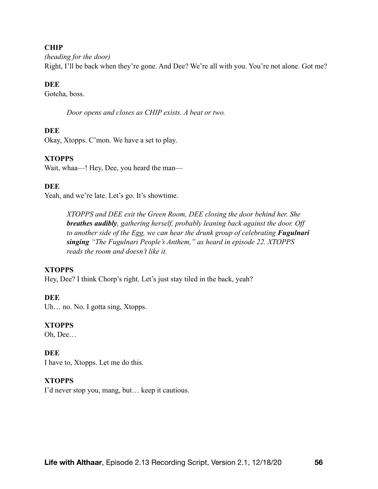#### *(heading for the door)*

Right, I'll be back when they're gone. And Dee? We're all with you. You're not alone. Got me?

## **DEE**

Gotcha, boss.

*Door opens and closes as CHIP exists. A beat or two.* 

## **DEE**

Okay, Xtopps. C'mon. We have a set to play.

## **XTOPPS**

Wait, whaa—! Hey, Dee, you heard the man—

## **DEE**

Yeah, and we're late. Let's go. It's showtime.

*XTOPPS and DEE exit the Green Room, DEE closing the door behind her. She breathes audibly, gathering herself, probably leaning back against the door. Off to another side of the Egg, we can hear the drunk group of celebrating Fugulnari singing "The Fugulnari People's Anthem," as heard in episode 22. XTOPPS reads the room and doesn't like it.* 

## **XTOPPS**

Hey, Dee? I think Chorp's right. Let's just stay tiled in the back, yeah?

## **DEE**

Uh... no. No. I gotta sing, Xtopps.

## **XTOPPS**

Oh, Dee…

## **DEE**

I have to, Xtopps. Let me do this.

## **XTOPPS**

I'd never stop you, mang, but… keep it cautious.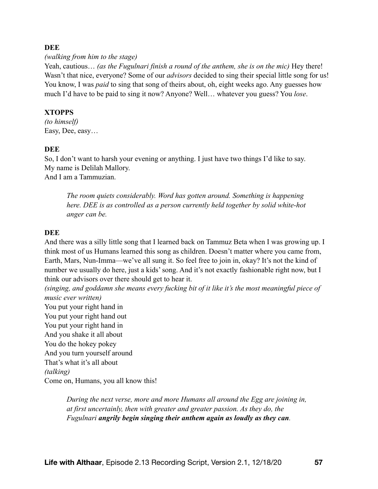#### *(walking from him to the stage)*

Yeah, cautious... *(as the Fugulnari finish a round of the anthem, she is on the mic)* Hey there! Wasn't that nice, everyone? Some of our *advisors* decided to sing their special little song for us! You know, I was *paid* to sing that song of theirs about, oh, eight weeks ago. Any guesses how much I'd have to be paid to sing it now? Anyone? Well… whatever you guess? You *lose*.

#### **XTOPPS**

*(to himself)*  Easy, Dee, easy…

#### **DEE**

So, I don't want to harsh your evening or anything. I just have two things I'd like to say. My name is Delilah Mallory. And I am a Tammuzian.

*The room quiets considerably. Word has gotten around. Something is happening here. DEE is as controlled as a person currently held together by solid white-hot anger can be.* 

#### **DEE**

And there was a silly little song that I learned back on Tammuz Beta when I was growing up. I think most of us Humans learned this song as children. Doesn't matter where you came from, Earth, Mars, Nun-Imma—we've all sung it. So feel free to join in, okay? It's not the kind of number we usually do here, just a kids' song. And it's not exactly fashionable right now, but I think our advisors over there should get to hear it.

*(singing, and goddamn she means every fucking bit of it like it's the most meaningful piece of music ever written)* 

You put your right hand in You put your right hand out You put your right hand in And you shake it all about You do the hokey pokey And you turn yourself around That's what it's all about *(talking)*  Come on, Humans, you all know this!

> *During the next verse, more and more Humans all around the Egg are joining in, at first uncertainly, then with greater and greater passion. As they do, the Fugulnari angrily begin singing their anthem again as loudly as they can.*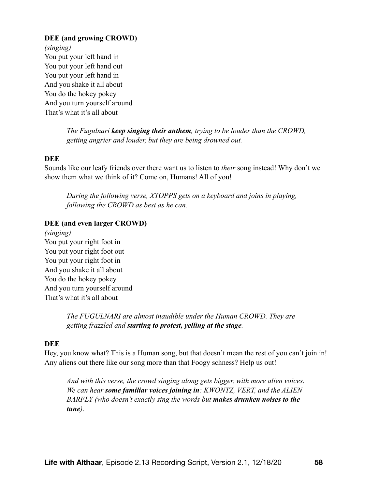## **DEE (and growing CROWD)**

*(singing)*  You put your left hand in You put your left hand out You put your left hand in And you shake it all about You do the hokey pokey And you turn yourself around That's what it's all about

> *The Fugulnari keep singing their anthem, trying to be louder than the CROWD, getting angrier and louder, but they are being drowned out.*

#### **DEE**

Sounds like our leafy friends over there want us to listen to *their* song instead! Why don't we show them what we think of it? Come on, Humans! All of you!

*During the following verse, XTOPPS gets on a keyboard and joins in playing, following the CROWD as best as he can.* 

#### **DEE (and even larger CROWD)**

*(singing)*  You put your right foot in You put your right foot out You put your right foot in And you shake it all about You do the hokey pokey And you turn yourself around That's what it's all about

> *The FUGULNARI are almost inaudible under the Human CROWD. They are getting frazzled and starting to protest, yelling at the stage.*

#### **DEE**

Hey, you know what? This is a Human song, but that doesn't mean the rest of you can't join in! Any aliens out there like our song more than that Foogy schness? Help us out!

*And with this verse, the crowd singing along gets bigger, with more alien voices. We can hear some familiar voices joining in: KWONTZ, VERT, and the ALIEN BARFLY (who doesn't exactly sing the words but makes drunken noises to the tune).*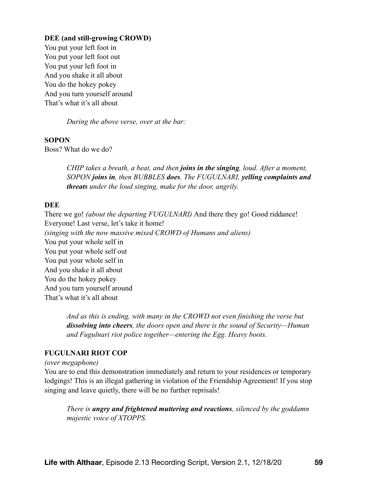## **DEE (and still-growing CROWD)**

You put your left foot in You put your left foot out You put your left foot in And you shake it all about You do the hokey pokey And you turn yourself around That's what it's all about

*During the above verse, over at the bar:* 

#### **SOPON**

Boss? What do we do?

*CHIP takes a breath, a beat, and then joins in the singing, loud. After a moment, SOPON joins in, then BUBBLES does. The FUGULNARI, yelling complaints and threats under the loud singing, make for the door, angrily.* 

#### **DEE**

There we go! *(about the departing FUGULNARI)* And there they go! Good riddance! Everyone! Last verse, let's take it home! *(singing with the now massive mixed CROWD of Humans and aliens)*  You put your whole self in You put your whole self out You put your whole self in And you shake it all about You do the hokey pokey And you turn yourself around That's what it's all about

*And as this is ending, with many in the CROWD not even finishing the verse but dissolving into cheers, the doors open and there is the sound of Security—Human and Fugulnari riot police together—entering the Egg. Heavy boots.* 

#### **FUGULNARI RIOT COP**

#### *(over megaphone)*

You are to end this demonstration immediately and return to your residences or temporary lodgings! This is an illegal gathering in violation of the Friendship Agreement! If you stop singing and leave quietly, there will be no further reprisals!

*There is angry and frightened muttering and reactions, silenced by the goddamn majestic voice of XTOPPS.*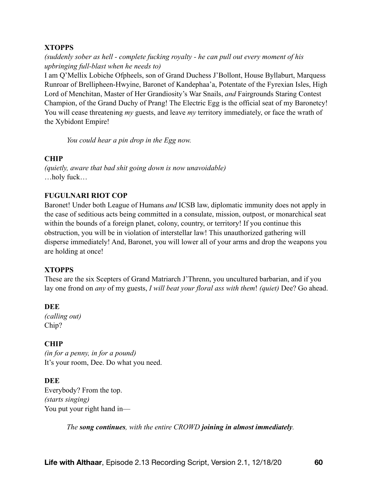## **XTOPPS**

*(suddenly sober as hell - complete fucking royalty - he can pull out every moment of his upbringing full-blast when he needs to)* 

I am Q'Mellix Lobiche Ofpheels, son of Grand Duchess J'Bollont, House Byllaburt, Marquess Runroar of Brellipheen-Hwyine, Baronet of Kandephaa'a, Potentate of the Fyrexian Isles, High Lord of Menchitan, Master of Her Grandiosity's War Snails, *and* Fairgrounds Staring Contest Champion, of the Grand Duchy of Prang! The Electric Egg is the official seat of my Baronetcy! You will cease threatening *my* guests, and leave *my* territory immediately, or face the wrath of the Xybidont Empire!

*You could hear a pin drop in the Egg now.* 

#### **CHIP**

*(quietly, aware that bad shit going down is now unavoidable)*  …holy fuck…

#### **FUGULNARI RIOT COP**

Baronet! Under both League of Humans *and* ICSB law, diplomatic immunity does not apply in the case of seditious acts being committed in a consulate, mission, outpost, or monarchical seat within the bounds of a foreign planet, colony, country, or territory! If you continue this obstruction, you will be in violation of interstellar law! This unauthorized gathering will disperse immediately! And, Baronet, you will lower all of your arms and drop the weapons you are holding at once!

#### **XTOPPS**

These are the six Scepters of Grand Matriarch J'Threnn, you uncultured barbarian, and if you lay one frond on *any* of my guests, *I will beat your floral ass with them*! *(quiet)* Dee? Go ahead.

#### **DEE**

*(calling out)*  Chip?

## **CHIP**

*(in for a penny, in for a pound)*  It's your room, Dee. Do what you need.

**DEE**  Everybody? From the top. *(starts singing)*  You put your right hand in—

*The song continues, with the entire CROWD joining in almost immediately.*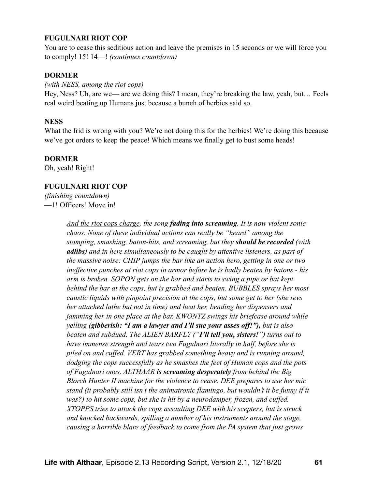## **FUGULNARI RIOT COP**

You are to cease this seditious action and leave the premises in 15 seconds or we will force you to comply! 15! 14—! *(continues countdown)* 

#### **DORMER**

#### *(with NESS, among the riot cops)*

Hey, Ness? Uh, are we— are we doing this? I mean, they're breaking the law, yeah, but… Feels real weird beating up Humans just because a bunch of herbies said so.

#### **NESS**

What the frid is wrong with you? We're not doing this for the herbies! We're doing this because we've got orders to keep the peace! Which means we finally get to bust some heads!

#### **DORMER**

Oh, yeah! Right!

#### **FUGULNARI RIOT COP**

*(finishing countdown)*  —1! Officers! Move in!

> *And the riot cops charge, the song fading into screaming. It is now violent sonic chaos. None of these individual actions can really be "heard" among the stomping, smashing, baton-hits, and screaming, but they should be recorded (with adlibs) and in here simultaneously to be caught by attentive listeners, as part of the massive noise: CHIP jumps the bar like an action hero, getting in one or two ineffective punches at riot cops in armor before he is badly beaten by batons - his arm is broken. SOPON gets on the bar and starts to swing a pipe or bat kept behind the bar at the cops, but is grabbed and beaten. BUBBLES sprays her most caustic liquids with pinpoint precision at the cops, but some get to her (she revs her attached lathe but not in time) and beat her, bending her dispensers and jamming her in one place at the bar. KWONTZ swings his briefcase around while yelling (gibberish: "I am a lawyer and I'll sue your asses off!"), but is also beaten and subdued. The ALIEN BARFLY ("I'll tell you, sisters!") turns out to have immense strength and tears two Fugulnari literally in half, before she is piled on and cuffed. VERT has grabbed something heavy and is running around, dodging the cops successfully as he smashes the feet of Human cops and the pots of Fugulnari ones. ALTHAAR is screaming desperately from behind the Big Blorch Hunter II machine for the violence to cease. DEE prepares to use her mic stand (it probably still isn't the animatronic flamingo, but wouldn't it be funny if it was?) to hit some cops, but she is hit by a neurodamper, frozen, and cuffed. XTOPPS tries to attack the cops assaulting DEE with his scepters, but is struck and knocked backwards, spilling a number of his instruments around the stage, causing a horrible blare of feedback to come from the PA system that just grows*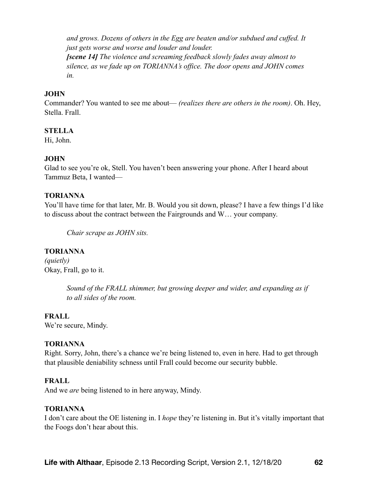*and grows. Dozens of others in the Egg are beaten and/or subdued and cuffed. It just gets worse and worse and louder and louder. [scene 14] The violence and screaming feedback slowly fades away almost to silence, as we fade up on TORIANNA's office. The door opens and JOHN comes in.* 

#### **JOHN**

Commander? You wanted to see me about— *(realizes there are others in the room)*. Oh. Hey, Stella. Frall.

#### **STELLA**

Hi, John.

#### **JOHN**

Glad to see you're ok, Stell. You haven't been answering your phone. After I heard about Tammuz Beta, I wanted—

#### **TORIANNA**

You'll have time for that later, Mr. B. Would you sit down, please? I have a few things I'd like to discuss about the contract between the Fairgrounds and W… your company.

*Chair scrape as JOHN sits.* 

#### **TORIANNA**

*(quietly)*  Okay, Frall, go to it.

> *Sound of the FRALL shimmer, but growing deeper and wider, and expanding as if to all sides of the room.*

## **FRALL**

We're secure, Mindy.

#### **TORIANNA**

Right. Sorry, John, there's a chance we're being listened to, even in here. Had to get through that plausible deniability schness until Frall could become our security bubble.

#### **FRALL**

And we *are* being listened to in here anyway, Mindy.

#### **TORIANNA**

I don't care about the OE listening in. I *hope* they're listening in. But it's vitally important that the Foogs don't hear about this.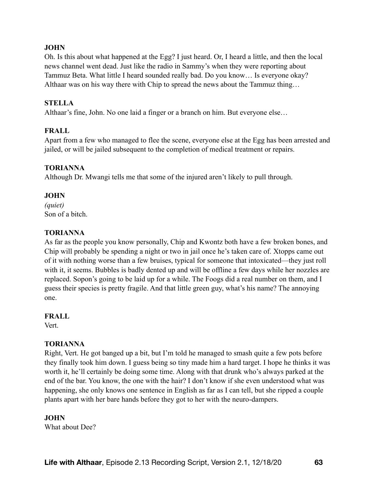## **JOHN**

Oh. Is this about what happened at the Egg? I just heard. Or, I heard a little, and then the local news channel went dead. Just like the radio in Sammy's when they were reporting about Tammuz Beta. What little I heard sounded really bad. Do you know… Is everyone okay? Althaar was on his way there with Chip to spread the news about the Tammuz thing…

## **STELLA**

Althaar's fine, John. No one laid a finger or a branch on him. But everyone else…

## **FRALL**

Apart from a few who managed to flee the scene, everyone else at the Egg has been arrested and jailed, or will be jailed subsequent to the completion of medical treatment or repairs.

## **TORIANNA**

Although Dr. Mwangi tells me that some of the injured aren't likely to pull through.

## **JOHN**

*(quiet)*  Son of a bitch.

## **TORIANNA**

As far as the people you know personally, Chip and Kwontz both have a few broken bones, and Chip will probably be spending a night or two in jail once he's taken care of. Xtopps came out of it with nothing worse than a few bruises, typical for someone that intoxicated—they just roll with it, it seems. Bubbles is badly dented up and will be offline a few days while her nozzles are replaced. Sopon's going to be laid up for a while. The Foogs did a real number on them, and I guess their species is pretty fragile. And that little green guy, what's his name? The annoying one.

## **FRALL**

Vert.

## **TORIANNA**

Right, Vert. He got banged up a bit, but I'm told he managed to smash quite a few pots before they finally took him down. I guess being so tiny made him a hard target. I hope he thinks it was worth it, he'll certainly be doing some time. Along with that drunk who's always parked at the end of the bar. You know, the one with the hair? I don't know if she even understood what was happening, she only knows one sentence in English as far as I can tell, but she ripped a couple plants apart with her bare hands before they got to her with the neuro-dampers.

## **JOHN**

What about Dee?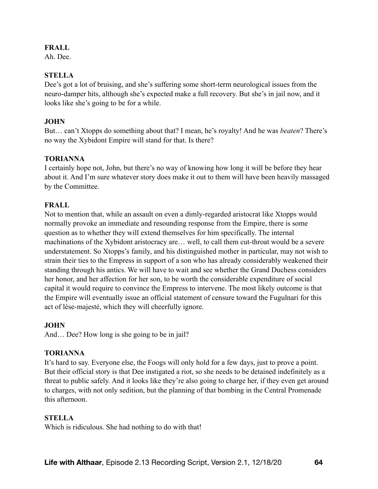## **FRALL**

Ah. Dee.

# **STELLA**

Dee's got a lot of bruising, and she's suffering some short-term neurological issues from the neuro-damper hits, although she's expected make a full recovery. But she's in jail now, and it looks like she's going to be for a while.

## **JOHN**

But… can't Xtopps do something about that? I mean, he's royalty! And he was *beaten*? There's no way the Xybidont Empire will stand for that. Is there?

## **TORIANNA**

I certainly hope not, John, but there's no way of knowing how long it will be before they hear about it. And I'm sure whatever story does make it out to them will have been heavily massaged by the Committee.

# **FRALL**

Not to mention that, while an assault on even a dimly-regarded aristocrat like Xtopps would normally provoke an immediate and resounding response from the Empire, there is some question as to whether they will extend themselves for him specifically. The internal machinations of the Xybidont aristocracy are… well, to call them cut-throat would be a severe understatement. So Xtopps's family, and his distinguished mother in particular, may not wish to strain their ties to the Empress in support of a son who has already considerably weakened their standing through his antics. We will have to wait and see whether the Grand Duchess considers her honor, and her affection for her son, to be worth the considerable expenditure of social capital it would require to convince the Empress to intervene. The most likely outcome is that the Empire will eventually issue an official statement of censure toward the Fugulnari for this act of lèse-majesté, which they will cheerfully ignore.

## **JOHN**

And… Dee? How long is she going to be in jail?

# **TORIANNA**

It's hard to say. Everyone else, the Foogs will only hold for a few days, just to prove a point. But their official story is that Dee instigated a riot, so she needs to be detained indefinitely as a threat to public safely. And it looks like they're also going to charge her, if they even get around to charges, with not only sedition, but the planning of that bombing in the Central Promenade this afternoon.

## **STELLA**

Which is ridiculous. She had nothing to do with that!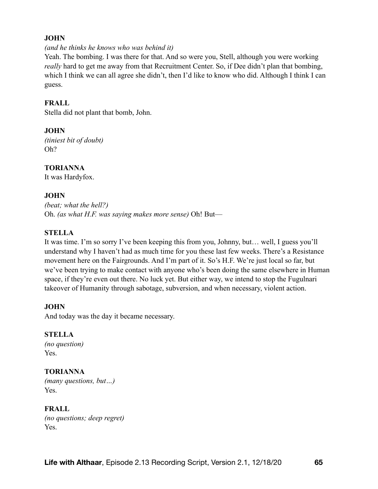## **JOHN**

#### *(and he thinks he knows who was behind it)*

Yeah. The bombing. I was there for that. And so were you, Stell, although you were working *really* hard to get me away from that Recruitment Center. So, if Dee didn't plan that bombing, which I think we can all agree she didn't, then I'd like to know who did. Although I think I can guess.

#### **FRALL**

Stella did not plant that bomb, John.

## **JOHN**

*(tiniest bit of doubt)*  Oh?

## **TORIANNA**

It was Hardyfox.

## **JOHN**

*(beat; what the hell?)*  Oh. *(as what H.F. was saying makes more sense)* Oh! But—

## **STELLA**

It was time. I'm so sorry I've been keeping this from you, Johnny, but… well, I guess you'll understand why I haven't had as much time for you these last few weeks. There's a Resistance movement here on the Fairgrounds. And I'm part of it. So's H.F. We're just local so far, but we've been trying to make contact with anyone who's been doing the same elsewhere in Human space, if they're even out there. No luck yet. But either way, we intend to stop the Fugulnari takeover of Humanity through sabotage, subversion, and when necessary, violent action.

## **JOHN**

And today was the day it became necessary.

# **STELLA**

*(no question)*  Yes.

**TORIANNA**  *(many questions, but…)*  Yes.

## **FRALL**

*(no questions; deep regret)*  Yes.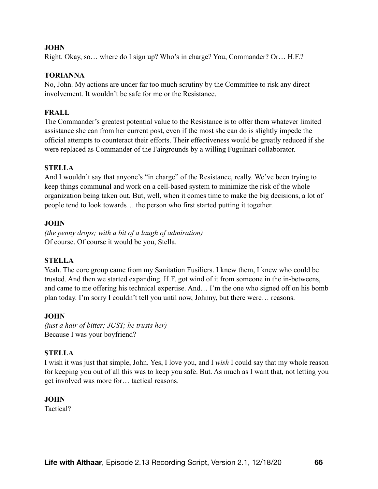## **JOHN**

Right. Okay, so… where do I sign up? Who's in charge? You, Commander? Or… H.F.?

#### **TORIANNA**

No, John. My actions are under far too much scrutiny by the Committee to risk any direct involvement. It wouldn't be safe for me or the Resistance.

## **FRALL**

The Commander's greatest potential value to the Resistance is to offer them whatever limited assistance she can from her current post, even if the most she can do is slightly impede the official attempts to counteract their efforts. Their effectiveness would be greatly reduced if she were replaced as Commander of the Fairgrounds by a willing Fugulnari collaborator.

## **STELLA**

And I wouldn't say that anyone's "in charge" of the Resistance, really. We've been trying to keep things communal and work on a cell-based system to minimize the risk of the whole organization being taken out. But, well, when it comes time to make the big decisions, a lot of people tend to look towards… the person who first started putting it together.

## **JOHN**

*(the penny drops; with a bit of a laugh of admiration)*  Of course. Of course it would be you, Stella.

## **STELLA**

Yeah. The core group came from my Sanitation Fusiliers. I knew them, I knew who could be trusted. And then we started expanding. H.F. got wind of it from someone in the in-betweens, and came to me offering his technical expertise. And… I'm the one who signed off on his bomb plan today. I'm sorry I couldn't tell you until now, Johnny, but there were… reasons.

## **JOHN**

*(just a hair of bitter; JUST; he trusts her)*  Because I was your boyfriend?

## **STELLA**

I wish it was just that simple, John. Yes, I love you, and I *wish* I could say that my whole reason for keeping you out of all this was to keep you safe. But. As much as I want that, not letting you get involved was more for… tactical reasons.

#### **JOHN**

Tactical?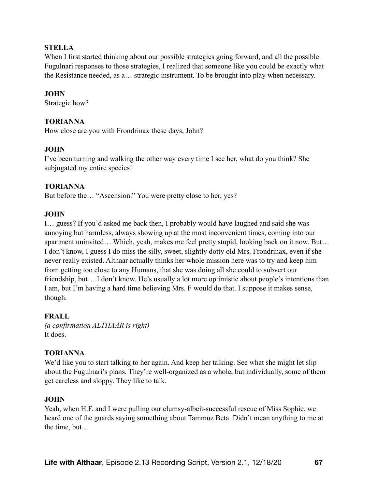## **STELLA**

When I first started thinking about our possible strategies going forward, and all the possible Fugulnari responses to those strategies, I realized that someone like you could be exactly what the Resistance needed, as a… strategic instrument. To be brought into play when necessary.

## **JOHN**

Strategic how?

## **TORIANNA**

How close are you with Frondrinax these days, John?

## **JOHN**

I've been turning and walking the other way every time I see her, what do you think? She subjugated my entire species!

## **TORIANNA**

But before the… "Ascension." You were pretty close to her, yes?

## **JOHN**

I… guess? If you'd asked me back then, I probably would have laughed and said she was annoying but harmless, always showing up at the most inconvenient times, coming into our apartment uninvited… Which, yeah, makes me feel pretty stupid, looking back on it now. But… I don't know, I guess I do miss the silly, sweet, slightly dotty old Mrs. Frondrinax, even if she never really existed. Althaar actually thinks her whole mission here was to try and keep him from getting too close to any Humans, that she was doing all she could to subvert our friendship, but… I don't know. He's usually a lot more optimistic about people's intentions than I am, but I'm having a hard time believing Mrs. F would do that. I suppose it makes sense, though.

## **FRALL**

*(a confirmation ALTHAAR is right)*  It does.

## **TORIANNA**

We'd like you to start talking to her again. And keep her talking. See what she might let slip about the Fugulnari's plans. They're well-organized as a whole, but individually, some of them get careless and sloppy. They like to talk.

## **JOHN**

Yeah, when H.F. and I were pulling our clumsy-albeit-successful rescue of Miss Sophie, we heard one of the guards saying something about Tammuz Beta. Didn't mean anything to me at the time, but…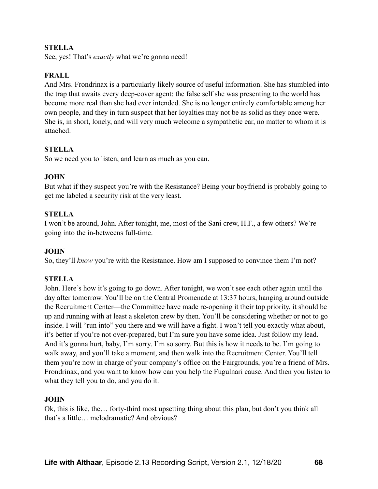## **STELLA**

See, yes! That's *exactly* what we're gonna need!

## **FRALL**

And Mrs. Frondrinax is a particularly likely source of useful information. She has stumbled into the trap that awaits every deep-cover agent: the false self she was presenting to the world has become more real than she had ever intended. She is no longer entirely comfortable among her own people, and they in turn suspect that her loyalties may not be as solid as they once were. She is, in short, lonely, and will very much welcome a sympathetic ear, no matter to whom it is attached.

## **STELLA**

So we need you to listen, and learn as much as you can.

## **JOHN**

But what if they suspect you're with the Resistance? Being your boyfriend is probably going to get me labeled a security risk at the very least.

## **STELLA**

I won't be around, John. After tonight, me, most of the Sani crew, H.F., a few others? We're going into the in-betweens full-time.

## **JOHN**

So, they'll *know* you're with the Resistance. How am I supposed to convince them I'm not?

## **STELLA**

John. Here's how it's going to go down. After tonight, we won't see each other again until the day after tomorrow. You'll be on the Central Promenade at 13:37 hours, hanging around outside the Recruitment Center—the Committee have made re-opening it their top priority, it should be up and running with at least a skeleton crew by then. You'll be considering whether or not to go inside. I will "run into" you there and we will have a fight. I won't tell you exactly what about, it's better if you're not over-prepared, but I'm sure you have some idea. Just follow my lead. And it's gonna hurt, baby, I'm sorry. I'm so sorry. But this is how it needs to be. I'm going to walk away, and you'll take a moment, and then walk into the Recruitment Center. You'll tell them you're now in charge of your company's office on the Fairgrounds, you're a friend of Mrs. Frondrinax, and you want to know how can you help the Fugulnari cause. And then you listen to what they tell you to do, and you do it.

## **JOHN**

Ok, this is like, the… forty-third most upsetting thing about this plan, but don't you think all that's a little… melodramatic? And obvious?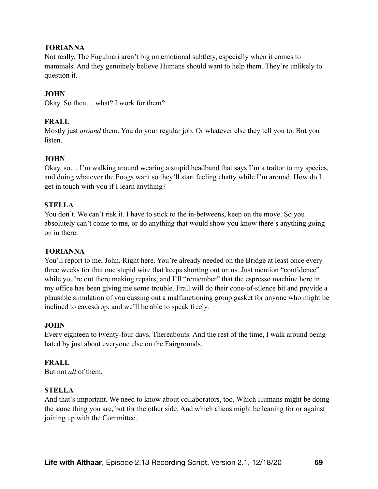## **TORIANNA**

Not really. The Fugulnari aren't big on emotional subtlety, especially when it comes to mammals. And they genuinely believe Humans should want to help them. They're unlikely to question it.

## **JOHN**

Okay. So then… what? I work for them?

## **FRALL**

Mostly just *around* them. You do your regular job. Or whatever else they tell you to. But you listen.

## **JOHN**

Okay, so… I'm walking around wearing a stupid headband that says I'm a traitor to my species, and doing whatever the Foogs want so they'll start feeling chatty while I'm around. How do I get in touch with you if I learn anything?

## **STELLA**

You don't. We can't risk it. I have to stick to the in-betweens, keep on the move. So you absolutely can't come to me, or do anything that would show you know there's anything going on in there.

## **TORIANNA**

You'll report to me, John. Right here. You're already needed on the Bridge at least once every three weeks for that one stupid wire that keeps shorting out on us. Just mention "confidence" while you're out there making repairs, and I'll "remember" that the espresso machine here in my office has been giving me some trouble. Frall will do their cone-of-silence bit and provide a plausible simulation of you cussing out a malfunctioning group gasket for anyone who might be inclined to eavesdrop, and we'll be able to speak freely.

## **JOHN**

Every eighteen to twenty-four days. Thereabouts. And the rest of the time, I walk around being hated by just about everyone else on the Fairgrounds.

## **FRALL**

But not *all* of them.

## **STELLA**

And that's important. We need to know about collaborators, too. Which Humans might be doing the same thing you are, but for the other side. And which aliens might be leaning for or against joining up with the Committee.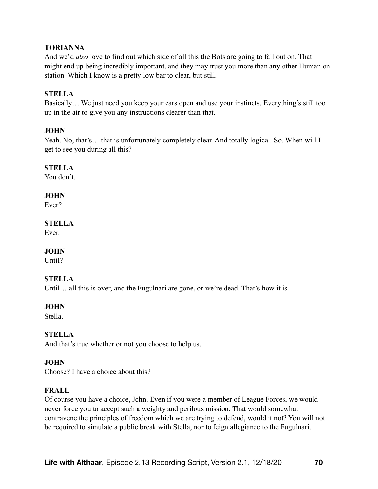## **TORIANNA**

And we'd *also* love to find out which side of all this the Bots are going to fall out on. That might end up being incredibly important, and they may trust you more than any other Human on station. Which I know is a pretty low bar to clear, but still.

## **STELLA**

Basically… We just need you keep your ears open and use your instincts. Everything's still too up in the air to give you any instructions clearer than that.

## **JOHN**

Yeah. No, that's... that is unfortunately completely clear. And totally logical. So. When will I get to see you during all this?

## **STELLA**

You don't.

## **JOHN**

Ever?

## **STELLA**

Ever.

# **JOHN**

Until?

# **STELLA**

Until... all this is over, and the Fugulnari are gone, or we're dead. That's how it is.

## **JOHN**

Stella.

# **STELLA**

And that's true whether or not you choose to help us.

## **JOHN**

Choose? I have a choice about this?

## **FRALL**

Of course you have a choice, John. Even if you were a member of League Forces, we would never force you to accept such a weighty and perilous mission. That would somewhat contravene the principles of freedom which we are trying to defend, would it not? You will not be required to simulate a public break with Stella, nor to feign allegiance to the Fugulnari.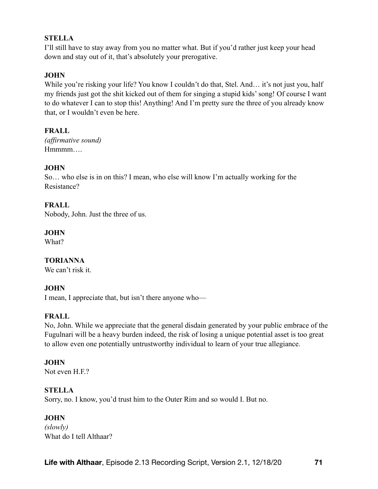# **STELLA**

I'll still have to stay away from you no matter what. But if you'd rather just keep your head down and stay out of it, that's absolutely your prerogative.

# **JOHN**

While you're risking your life? You know I couldn't do that, Stel. And... it's not just you, half my friends just got the shit kicked out of them for singing a stupid kids' song! Of course I want to do whatever I can to stop this! Anything! And I'm pretty sure the three of you already know that, or I wouldn't even be here.

# **FRALL**

*(affirmative sound)*  Hmmmm….

## **JOHN**

So… who else is in on this? I mean, who else will know I'm actually working for the Resistance?

# **FRALL**

Nobody, John. Just the three of us.

# **JOHN**

What?

# **TORIANNA**

We can't risk it.

# **JOHN**

I mean, I appreciate that, but isn't there anyone who—

# **FRALL**

No, John. While we appreciate that the general disdain generated by your public embrace of the Fugulnari will be a heavy burden indeed, the risk of losing a unique potential asset is too great to allow even one potentially untrustworthy individual to learn of your true allegiance.

## **JOHN**

Not even H<sub>F</sub>?

# **STELLA**

Sorry, no. I know, you'd trust him to the Outer Rim and so would I. But no.

# **JOHN**

*(slowly)*  What do I tell Althaar?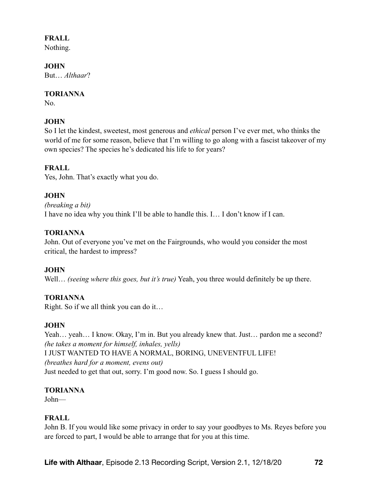## **FRALL**

Nothing.

**JOHN** 

But… *Althaar*?

## **TORIANNA**

No.

# **JOHN**

So I let the kindest, sweetest, most generous and *ethical* person I've ever met, who thinks the world of me for some reason, believe that I'm willing to go along with a fascist takeover of my own species? The species he's dedicated his life to for years?

# **FRALL**

Yes, John. That's exactly what you do.

# **JOHN**

*(breaking a bit)*  I have no idea why you think I'll be able to handle this. I… I don't know if I can.

# **TORIANNA**

John. Out of everyone you've met on the Fairgrounds, who would you consider the most critical, the hardest to impress?

# **JOHN**

Well… *(seeing where this goes, but it's true)* Yeah, you three would definitely be up there.

# **TORIANNA**

Right. So if we all think you can do it…

# **JOHN**

Yeah... yeah... I know. Okay, I'm in. But you already knew that. Just... pardon me a second? *(he takes a moment for himself, inhales, yells)*  I JUST WANTED TO HAVE A NORMAL, BORING, UNEVENTFUL LIFE! *(breathes hard for a moment, evens out)*  Just needed to get that out, sorry. I'm good now. So. I guess I should go.

# **TORIANNA**

John—

# **FRALL**

John B. If you would like some privacy in order to say your goodbyes to Ms. Reyes before you are forced to part, I would be able to arrange that for you at this time.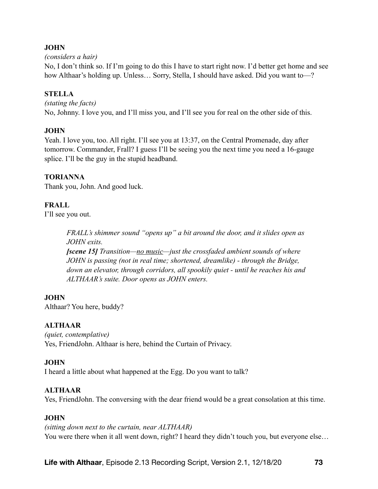# **JOHN**

### *(considers a hair)*

No, I don't think so. If I'm going to do this I have to start right now. I'd better get home and see how Althaar's holding up. Unless... Sorry, Stella, I should have asked. Did you want to—?

# **STELLA**

*(stating the facts)*  No, Johnny. I love you, and I'll miss you, and I'll see you for real on the other side of this.

## **JOHN**

Yeah. I love you, too. All right. I'll see you at 13:37, on the Central Promenade, day after tomorrow. Commander, Frall? I guess I'll be seeing you the next time you need a 16-gauge splice. I'll be the guy in the stupid headband.

## **TORIANNA**

Thank you, John. And good luck.

## **FRALL**

I'll see you out.

*FRALL's shimmer sound "opens up" a bit around the door, and it slides open as JOHN exits.* 

*[scene 15] Transition—no music—just the crossfaded ambient sounds of where JOHN is passing (not in real time; shortened, dreamlike) - through the Bridge, down an elevator, through corridors, all spookily quiet - until he reaches his and ALTHAAR's suite. Door opens as JOHN enters.* 

# **JOHN**

Althaar? You here, buddy?

### **ALTHAAR**

*(quiet, contemplative)*  Yes, FriendJohn. Althaar is here, behind the Curtain of Privacy.

### **JOHN**

I heard a little about what happened at the Egg. Do you want to talk?

### **ALTHAAR**

Yes, FriendJohn. The conversing with the dear friend would be a great consolation at this time.

# **JOHN**

*(sitting down next to the curtain, near ALTHAAR)*  You were there when it all went down, right? I heard they didn't touch you, but everyone else...

**Life with Althaar**, Episode 2.13 Recording Script, Version 2.1, 12/18/20 **73**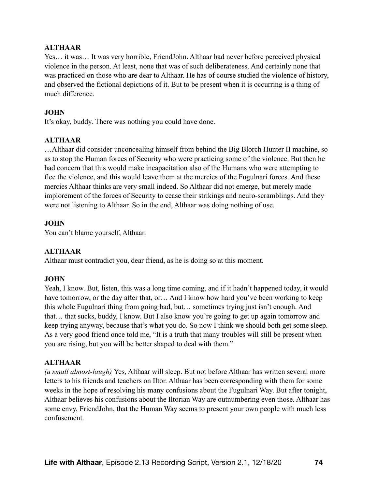### **ALTHAAR**

Yes… it was… It was very horrible, FriendJohn. Althaar had never before perceived physical violence in the person. At least, none that was of such deliberateness. And certainly none that was practiced on those who are dear to Althaar. He has of course studied the violence of history, and observed the fictional depictions of it. But to be present when it is occurring is a thing of much difference.

## **JOHN**

It's okay, buddy. There was nothing you could have done.

### **ALTHAAR**

…Althaar did consider unconcealing himself from behind the Big Blorch Hunter II machine, so as to stop the Human forces of Security who were practicing some of the violence. But then he had concern that this would make incapacitation also of the Humans who were attempting to flee the violence, and this would leave them at the mercies of the Fugulnari forces. And these mercies Althaar thinks are very small indeed. So Althaar did not emerge, but merely made implorement of the forces of Security to cease their strikings and neuro-scramblings. And they were not listening to Althaar. So in the end, Althaar was doing nothing of use.

## **JOHN**

You can't blame yourself, Althaar.

# **ALTHAAR**

Althaar must contradict you, dear friend, as he is doing so at this moment.

### **JOHN**

Yeah, I know. But, listen, this was a long time coming, and if it hadn't happened today, it would have tomorrow, or the day after that, or... And I know how hard you've been working to keep this whole Fugulnari thing from going bad, but… sometimes trying just isn't enough. And that… that sucks, buddy, I know. But I also know you're going to get up again tomorrow and keep trying anyway, because that's what you do. So now I think we should both get some sleep. As a very good friend once told me, "It is a truth that many troubles will still be present when you are rising, but you will be better shaped to deal with them."

### **ALTHAAR**

*(a small almost-laugh)* Yes, Althaar will sleep. But not before Althaar has written several more letters to his friends and teachers on Iltor. Althaar has been corresponding with them for some weeks in the hope of resolving his many confusions about the Fugulnari Way. But after tonight, Althaar believes his confusions about the Iltorian Way are outnumbering even those. Althaar has some envy, FriendJohn, that the Human Way seems to present your own people with much less confusement.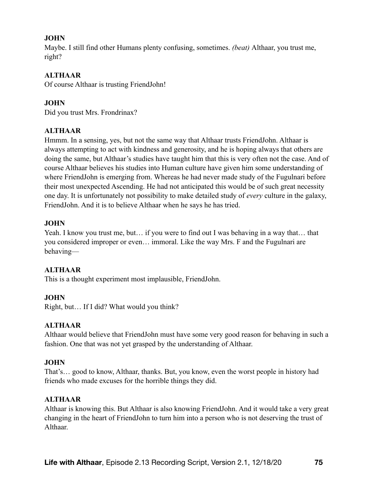## **JOHN**

Maybe. I still find other Humans plenty confusing, sometimes. *(beat)* Althaar, you trust me, right?

## **ALTHAAR**

Of course Althaar is trusting FriendJohn!

## **JOHN**

Did you trust Mrs. Frondrinax?

## **ALTHAAR**

Hmmm. In a sensing, yes, but not the same way that Althaar trusts FriendJohn. Althaar is always attempting to act with kindness and generosity, and he is hoping always that others are doing the same, but Althaar's studies have taught him that this is very often not the case. And of course Althaar believes his studies into Human culture have given him some understanding of where FriendJohn is emerging from. Whereas he had never made study of the Fugulnari before their most unexpected Ascending. He had not anticipated this would be of such great necessity one day. It is unfortunately not possibility to make detailed study of *every* culture in the galaxy, FriendJohn. And it is to believe Althaar when he says he has tried.

### **JOHN**

Yeah. I know you trust me, but… if you were to find out I was behaving in a way that… that you considered improper or even… immoral. Like the way Mrs. F and the Fugulnari are behaving—

### **ALTHAAR**

This is a thought experiment most implausible, FriendJohn.

### **JOHN**

Right, but… If I did? What would you think?

### **ALTHAAR**

Althaar would believe that FriendJohn must have some very good reason for behaving in such a fashion. One that was not yet grasped by the understanding of Althaar.

### **JOHN**

That's… good to know, Althaar, thanks. But, you know, even the worst people in history had friends who made excuses for the horrible things they did.

### **ALTHAAR**

Althaar is knowing this. But Althaar is also knowing FriendJohn. And it would take a very great changing in the heart of FriendJohn to turn him into a person who is not deserving the trust of Althaar.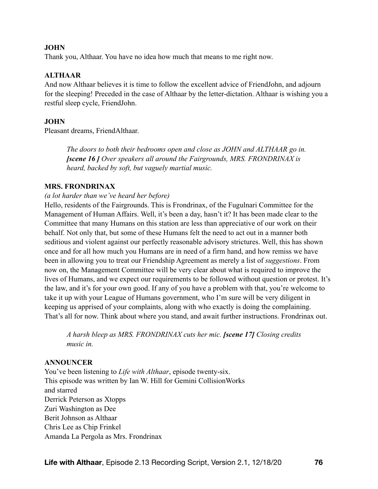### **JOHN**

Thank you, Althaar. You have no idea how much that means to me right now.

#### **ALTHAAR**

And now Althaar believes it is time to follow the excellent advice of FriendJohn, and adjourn for the sleeping! Preceded in the case of Althaar by the letter-dictation. Althaar is wishing you a restful sleep cycle, FriendJohn.

### **JOHN**

Pleasant dreams, FriendAlthaar.

*The doors to both their bedrooms open and close as JOHN and ALTHAAR go in. [scene 16 ] Over speakers all around the Fairgrounds, MRS. FRONDRINAX is heard, backed by soft, but vaguely martial music.* 

### **MRS. FRONDRINAX**

#### *(a lot harder than we've heard her before)*

Hello, residents of the Fairgrounds. This is Frondrinax, of the Fugulnari Committee for the Management of Human Affairs. Well, it's been a day, hasn't it? It has been made clear to the Committee that many Humans on this station are less than appreciative of our work on their behalf. Not only that, but some of these Humans felt the need to act out in a manner both seditious and violent against our perfectly reasonable advisory strictures. Well, this has shown once and for all how much you Humans are in need of a firm hand, and how remiss we have been in allowing you to treat our Friendship Agreement as merely a list of *suggestions*. From now on, the Management Committee will be very clear about what is required to improve the lives of Humans, and we expect our requirements to be followed without question or protest. It's the law, and it's for your own good. If any of you have a problem with that, you're welcome to take it up with your League of Humans government, who I'm sure will be very diligent in keeping us apprised of your complaints, along with who exactly is doing the complaining. That's all for now. Think about where you stand, and await further instructions. Frondrinax out.

*A harsh bleep as MRS. FRONDRINAX cuts her mic. [scene 17] Closing credits music in.* 

### **ANNOUNCER**

You've been listening to *Life with Althaar*, episode twenty-six. This episode was written by Ian W. Hill for Gemini CollisionWorks and starred Derrick Peterson as Xtopps Zuri Washington as Dee Berit Johnson as Althaar Chris Lee as Chip Frinkel Amanda La Pergola as Mrs. Frondrinax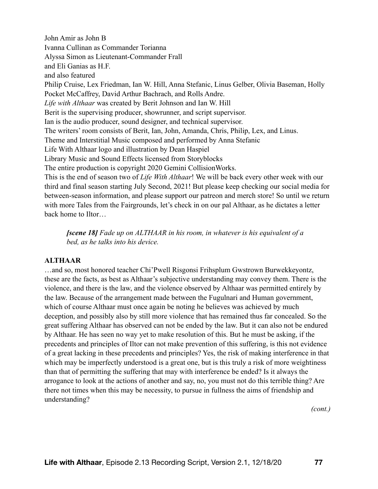John Amir as John B Ivanna Cullinan as Commander Torianna Alyssa Simon as Lieutenant-Commander Frall and Eli Ganias as H.F. and also featured Philip Cruise, Lex Friedman, Ian W. Hill, Anna Stefanic, Linus Gelber, Olivia Baseman, Holly Pocket McCaffrey, David Arthur Bachrach, and Rolls Andre. *Life with Althaar* was created by Berit Johnson and Ian W. Hill Berit is the supervising producer, showrunner, and script supervisor. Ian is the audio producer, sound designer, and technical supervisor. The writers' room consists of Berit, Ian, John, Amanda, Chris, Philip, Lex, and Linus. Theme and Interstitial Music composed and performed by Anna Stefanic Life With Althaar logo and illustration by Dean Haspiel Library Music and Sound Effects licensed from Storyblocks The entire production is copyright 2020 Gemini CollisionWorks. This is the end of season two of *Life With Althaar*! We will be back every other week with our third and final season starting July Second, 2021! But please keep checking our social media for between-season information, and please support our patreon and merch store! So until we return with more Tales from the Fairgrounds, let's check in on our pal Althaar, as he dictates a letter

back home to Iltor…

*[scene 18] Fade up on ALTHAAR in his room, in whatever is his equivalent of a bed, as he talks into his device.* 

### **ALTHAAR**

…and so, most honored teacher Chi'Pwell Risgonsi Frihsplum Gwstrown Burwekkeyontz, these are the facts, as best as Althaar's subjective understanding may convey them. There is the violence, and there is the law, and the violence observed by Althaar was permitted entirely by the law. Because of the arrangement made between the Fugulnari and Human government, which of course Althaar must once again be noting he believes was achieved by much deception, and possibly also by still more violence that has remained thus far concealed. So the great suffering Althaar has observed can not be ended by the law. But it can also not be endured by Althaar. He has seen no way yet to make resolution of this. But he must be asking, if the precedents and principles of Iltor can not make prevention of this suffering, is this not evidence of a great lacking in these precedents and principles? Yes, the risk of making interference in that which may be imperfectly understood is a great one, but is this truly a risk of more weightiness than that of permitting the suffering that may with interference be ended? Is it always the arrogance to look at the actions of another and say, no, you must not do this terrible thing? Are there not times when this may be necessity, to pursue in fullness the aims of friendship and understanding?

*(cont.)*